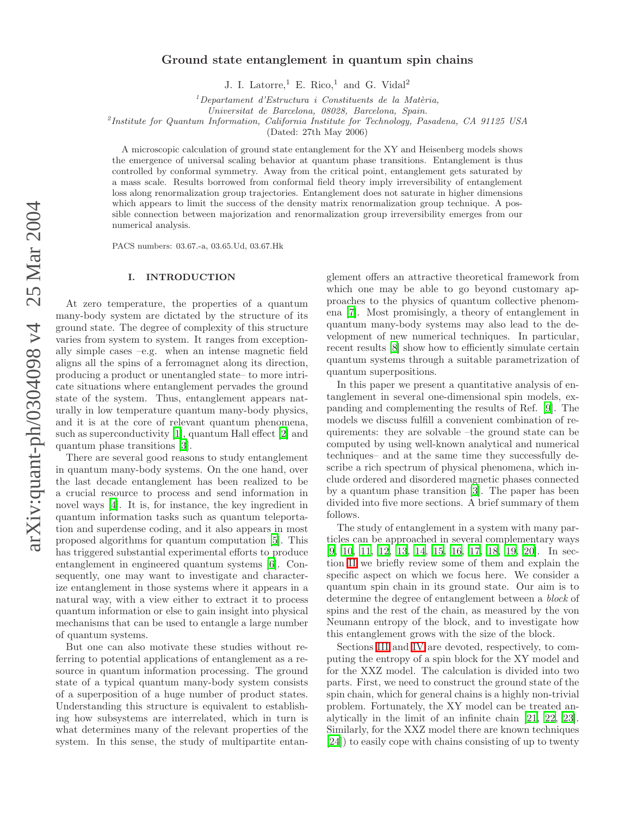# Ground state entanglement in quantum spin chains

J. I. Latorre,<sup>1</sup> E. Rico,<sup>1</sup> and G. Vidal<sup>2</sup>

 ${}^{1}$ Departament d'Estructura i Constituents de la Matèria,

Universitat de Barcelona, 08028, Barcelona, Spain.

2 Institute for Quantum Information, California Institute for Technology, Pasadena, CA 91125 USA

(Dated: 27th May 2006)

A microscopic calculation of ground state entanglement for the XY and Heisenberg models shows the emergence of universal scaling behavior at quantum phase transitions. Entanglement is thus controlled by conformal symmetry. Away from the critical point, entanglement gets saturated by a mass scale. Results borrowed from conformal field theory imply irreversibility of entanglement loss along renormalization group trajectories. Entanglement does not saturate in higher dimensions which appears to limit the success of the density matrix renormalization group technique. A possible connection between majorization and renormalization group irreversibility emerges from our numerical analysis.

PACS numbers: 03.67.-a, 03.65.Ud, 03.67.Hk

## I. INTRODUCTION

At zero temperature, the properties of a quantum many-body system are dictated by the structure of its ground state. The degree of complexity of this structure varies from system to system. It ranges from exceptionally simple cases –e.g. when an intense magnetic field aligns all the spins of a ferromagnet along its direction, producing a product or unentangled state– to more intricate situations where entanglement pervades the ground state of the system. Thus, entanglement appears naturally in low temperature quantum many-body physics, and it is at the core of relevant quantum phenomena, such as superconductivity [\[1\]](#page-24-0), quantum Hall effect [\[2\]](#page-24-1) and quantum phase transitions [\[3\]](#page-24-2).

There are several good reasons to study entanglement in quantum many-body systems. On the one hand, over the last decade entanglement has been realized to be a crucial resource to process and send information in novel ways [\[4\]](#page-24-3). It is, for instance, the key ingredient in quantum information tasks such as quantum teleportation and superdense coding, and it also appears in most proposed algorithms for quantum computation [\[5\]](#page-24-4). This has triggered substantial experimental efforts to produce entanglement in engineered quantum systems [\[6](#page-24-5)]. Consequently, one may want to investigate and characterize entanglement in those systems where it appears in a natural way, with a view either to extract it to process quantum information or else to gain insight into physical mechanisms that can be used to entangle a large number of quantum systems.

But one can also motivate these studies without referring to potential applications of entanglement as a resource in quantum information processing. The ground state of a typical quantum many-body system consists of a superposition of a huge number of product states. Understanding this structure is equivalent to establishing how subsystems are interrelated, which in turn is what determines many of the relevant properties of the system. In this sense, the study of multipartite entan-

glement offers an attractive theoretical framework from which one may be able to go beyond customary approaches to the physics of quantum collective phenomena [\[7\]](#page-24-6). Most promisingly, a theory of entanglement in quantum many-body systems may also lead to the development of new numerical techniques. In particular, recent results [\[8\]](#page-24-7) show how to efficiently simulate certain quantum systems through a suitable parametrization of quantum superpositions.

In this paper we present a quantitative analysis of entanglement in several one-dimensional spin models, expanding and complementing the results of Ref. [\[9\]](#page-24-8). The models we discuss fulfill a convenient combination of requirements: they are solvable –the ground state can be computed by using well-known analytical and numerical techniques– and at the same time they successfully describe a rich spectrum of physical phenomena, which include ordered and disordered magnetic phases connected by a quantum phase transition [\[3\]](#page-24-2). The paper has been divided into five more sections. A brief summary of them follows.

The study of entanglement in a system with many particles can be approached in several complementary ways [\[9,](#page-24-8) [10](#page-24-9), [11](#page-24-10), [12,](#page-24-11) [13](#page-24-12), [14,](#page-24-13) [15,](#page-24-14) [16](#page-24-15), [17,](#page-24-16) [18](#page-24-17), [19](#page-24-18), [20\]](#page-24-19). In section [II](#page-1-0) we briefly review some of them and explain the specific aspect on which we focus here. We consider a quantum spin chain in its ground state. Our aim is to determine the degree of entanglement between a block of spins and the rest of the chain, as measured by the von Neumann entropy of the block, and to investigate how this entanglement grows with the size of the block.

Sections [III](#page-6-0) and [IV](#page-12-0) are devoted, respectively, to computing the entropy of a spin block for the XY model and for the XXZ model. The calculation is divided into two parts. First, we need to construct the ground state of the spin chain, which for general chains is a highly non-trivial problem. Fortunately, the XY model can be treated analytically in the limit of an infinite chain [\[21](#page-24-20), [22,](#page-24-21) [23\]](#page-24-22). Similarly, for the XXZ model there are known techniques [\[24\]](#page-24-23)) to easily cope with chains consisting of up to twenty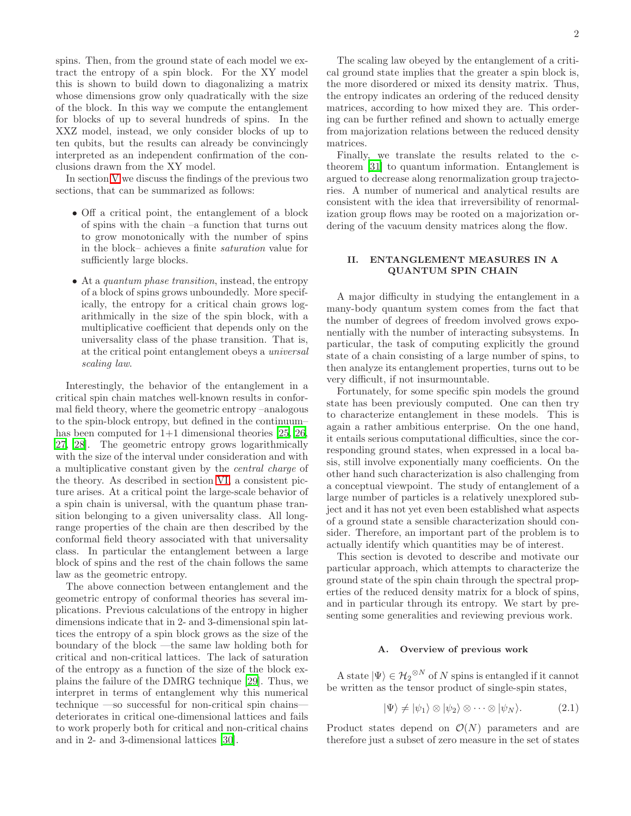spins. Then, from the ground state of each model we extract the entropy of a spin block. For the XY model this is shown to build down to diagonalizing a matrix whose dimensions grow only quadratically with the size of the block. In this way we compute the entanglement for blocks of up to several hundreds of spins. In the XXZ model, instead, we only consider blocks of up to ten qubits, but the results can already be convincingly interpreted as an independent confirmation of the conclusions drawn from the XY model.

In section [V](#page-15-0) we discuss the findings of the previous two sections, that can be summarized as follows:

- Off a critical point, the entanglement of a block of spins with the chain –a function that turns out to grow monotonically with the number of spins in the block– achieves a finite saturation value for sufficiently large blocks.
- At a *quantum phase transition*, instead, the entropy of a block of spins grows unboundedly. More specifically, the entropy for a critical chain grows logarithmically in the size of the spin block, with a multiplicative coefficient that depends only on the universality class of the phase transition. That is, at the critical point entanglement obeys a universal scaling law.

Interestingly, the behavior of the entanglement in a critical spin chain matches well-known results in conformal field theory, where the geometric entropy –analogous to the spin-block entropy, but defined in the continuum– has been computed for  $1+1$  dimensional theories [\[25,](#page-24-24) [26](#page-24-25), [27,](#page-24-26) [28](#page-24-27)]. The geometric entropy grows logarithmically with the size of the interval under consideration and with a multiplicative constant given by the central charge of the theory. As described in section [VI,](#page-16-0) a consistent picture arises. At a critical point the large-scale behavior of a spin chain is universal, with the quantum phase transition belonging to a given universality class. All longrange properties of the chain are then described by the conformal field theory associated with that universality class. In particular the entanglement between a large block of spins and the rest of the chain follows the same law as the geometric entropy.

The above connection between entanglement and the geometric entropy of conformal theories has several implications. Previous calculations of the entropy in higher dimensions indicate that in 2- and 3-dimensional spin lattices the entropy of a spin block grows as the size of the boundary of the block —the same law holding both for critical and non-critical lattices. The lack of saturation of the entropy as a function of the size of the block explains the failure of the DMRG technique [\[29](#page-24-28)]. Thus, we interpret in terms of entanglement why this numerical technique —so successful for non-critical spin chains deteriorates in critical one-dimensional lattices and fails to work properly both for critical and non-critical chains and in 2- and 3-dimensional lattices [\[30](#page-24-29)].

The scaling law obeyed by the entanglement of a critical ground state implies that the greater a spin block is, the more disordered or mixed its density matrix. Thus, the entropy indicates an ordering of the reduced density matrices, according to how mixed they are. This ordering can be further refined and shown to actually emerge from majorization relations between the reduced density matrices.

Finally, we translate the results related to the ctheorem [\[31](#page-24-30)] to quantum information. Entanglement is argued to decrease along renormalization group trajectories. A number of numerical and analytical results are consistent with the idea that irreversibility of renormalization group flows may be rooted on a majorization ordering of the vacuum density matrices along the flow.

## II. ENTANGLEMENT MEASURES IN A QUANTUM SPIN CHAIN

<span id="page-1-0"></span>A major difficulty in studying the entanglement in a many-body quantum system comes from the fact that the number of degrees of freedom involved grows exponentially with the number of interacting subsystems. In particular, the task of computing explicitly the ground state of a chain consisting of a large number of spins, to then analyze its entanglement properties, turns out to be very difficult, if not insurmountable.

Fortunately, for some specific spin models the ground state has been previously computed. One can then try to characterize entanglement in these models. This is again a rather ambitious enterprise. On the one hand, it entails serious computational difficulties, since the corresponding ground states, when expressed in a local basis, still involve exponentially many coefficients. On the other hand such characterization is also challenging from a conceptual viewpoint. The study of entanglement of a large number of particles is a relatively unexplored subject and it has not yet even been established what aspects of a ground state a sensible characterization should consider. Therefore, an important part of the problem is to actually identify which quantities may be of interest.

This section is devoted to describe and motivate our particular approach, which attempts to characterize the ground state of the spin chain through the spectral properties of the reduced density matrix for a block of spins, and in particular through its entropy. We start by presenting some generalities and reviewing previous work.

### A. Overview of previous work

A state  $|\Psi\rangle \in {\mathcal{H}_2}^{\otimes N}$  of N spins is entangled if it cannot be written as the tensor product of single-spin states,

$$
|\Psi\rangle \neq |\psi_1\rangle \otimes |\psi_2\rangle \otimes \cdots \otimes |\psi_N\rangle. \tag{2.1}
$$

Product states depend on  $\mathcal{O}(N)$  parameters and are therefore just a subset of zero measure in the set of states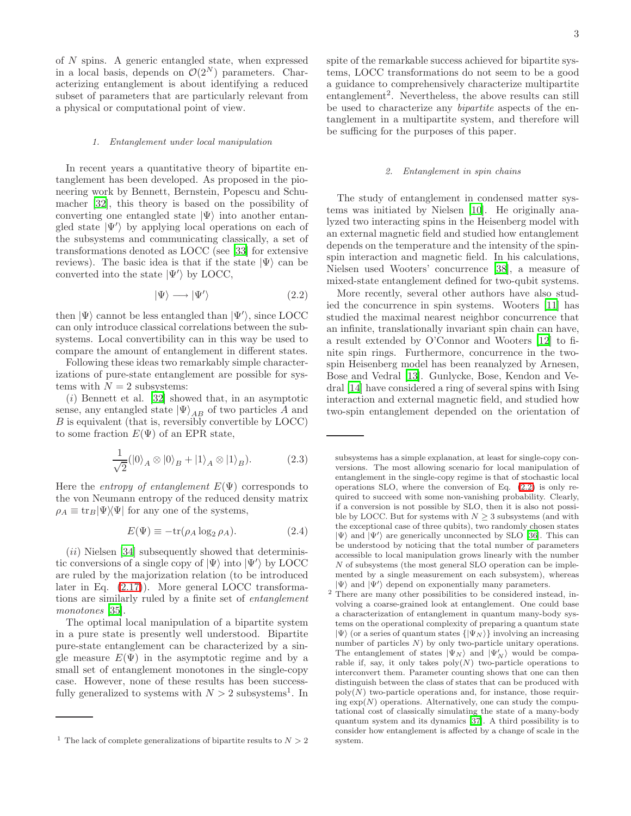of N spins. A generic entangled state, when expressed in a local basis, depends on  $\mathcal{O}(2^N)$  parameters. Characterizing entanglement is about identifying a reduced subset of parameters that are particularly relevant from a physical or computational point of view.

#### 1. Entanglement under local manipulation

In recent years a quantitative theory of bipartite entanglement has been developed. As proposed in the pioneering work by Bennett, Bernstein, Popescu and Schumacher [\[32\]](#page-24-31), this theory is based on the possibility of converting one entangled state  $|\Psi\rangle$  into another entangled state  $|\Psi'\rangle$  by applying local operations on each of the subsystems and communicating classically, a set of transformations denoted as LOCC (see [\[33\]](#page-24-32) for extensive reviews). The basic idea is that if the state  $|\Psi\rangle$  can be converted into the state  $|\Psi'\rangle$  by LOCC,

<span id="page-2-0"></span>
$$
|\Psi\rangle \longrightarrow |\Psi'\rangle \tag{2.2}
$$

then  $|\Psi\rangle$  cannot be less entangled than  $|\Psi'\rangle,$  since LOCC can only introduce classical correlations between the subsystems. Local convertibility can in this way be used to compare the amount of entanglement in different states.

Following these ideas two remarkably simple characterizations of pure-state entanglement are possible for systems with  $N = 2$  subsystems:

 $(i)$  Bennett et al. [\[32\]](#page-24-31) showed that, in an asymptotic sense, any entangled state  $|\Psi\rangle_{AB}$  of two particles A and B is equivalent (that is, reversibly convertible by LOCC) to some fraction  $E(\Psi)$  of an EPR state,

$$
\frac{1}{\sqrt{2}}(|0\rangle_A \otimes |0\rangle_B + |1\rangle_A \otimes |1\rangle_B). \tag{2.3}
$$

Here the *entropy of entanglement*  $E(\Psi)$  corresponds to the von Neumann entropy of the reduced density matrix  $\rho_A \equiv \text{tr}_B|\Psi\rangle\langle\Psi|$  for any one of the systems,

<span id="page-2-1"></span>
$$
E(\Psi) \equiv -\text{tr}(\rho_A \log_2 \rho_A). \tag{2.4}
$$

 $(ii)$  Nielsen [\[34](#page-24-33)] subsequently showed that deterministic conversions of a single copy of  $|\Psi\rangle$  into  $|\Psi'\rangle$  by LOCC are ruled by the majorization relation (to be introduced later in Eq. [\(2.17\)](#page-5-0)). More general LOCC transformations are similarly ruled by a finite set of entanglement monotones [\[35\]](#page-24-34).

The optimal local manipulation of a bipartite system in a pure state is presently well understood. Bipartite pure-state entanglement can be characterized by a single measure  $E(\Psi)$  in the asymptotic regime and by a small set of entanglement monotones in the single-copy case. However, none of these results has been successfully generalized to systems with  $N > 2$  subsystems<sup>1</sup>. In

spite of the remarkable success achieved for bipartite systems, LOCC transformations do not seem to be a good a guidance to comprehensively characterize multipartite entanglement<sup>2</sup>. Nevertheless, the above results can still be used to characterize any bipartite aspects of the entanglement in a multipartite system, and therefore will be sufficing for the purposes of this paper.

#### 2. Entanglement in spin chains

The study of entanglement in condensed matter systems was initiated by Nielsen [\[10\]](#page-24-9). He originally analyzed two interacting spins in the Heisenberg model with an external magnetic field and studied how entanglement depends on the temperature and the intensity of the spinspin interaction and magnetic field. In his calculations, Nielsen used Wooters' concurrence [\[38\]](#page-24-35), a measure of mixed-state entanglement defined for two-qubit systems.

More recently, several other authors have also studied the concurrence in spin systems. Wooters [\[11\]](#page-24-10) has studied the maximal nearest neighbor concurrence that an infinite, translationally invariant spin chain can have, a result extended by O'Connor and Wooters [\[12](#page-24-11)] to finite spin rings. Furthermore, concurrence in the twospin Heisenberg model has been reanalyzed by Arnesen, Bose and Vedral [\[13\]](#page-24-12). Gunlycke, Bose, Kendon and Vedral [\[14\]](#page-24-13) have considered a ring of several spins with Ising interaction and external magnetic field, and studied how two-spin entanglement depended on the orientation of

<sup>&</sup>lt;sup>1</sup> The lack of complete generalizations of bipartite results to  $N > 2$ 

subsystems has a simple explanation, at least for single-copy conversions. The most allowing scenario for local manipulation of entanglement in the single-copy regime is that of stochastic local operations SLO, where the conversion of Eq. [\(2.2\)](#page-2-0) is only required to succeed with some non-vanishing probability. Clearly, if a conversion is not possible by SLO, then it is also not possible by LOCC. But for systems with  $N \geq 3$  subsystems (and with the exceptional case of three qubits), two randomly chosen states  $|\Psi\rangle$  and  $|\Psi'\rangle$  are generically unconnected by SLO [\[36\]](#page-24-36). This can be understood by noticing that the total number of parameters accessible to local manipulation grows linearly with the number N of subsystems (the most general SLO operation can be implemented by a single measurement on each subsystem), whereas  $|\Psi\rangle$  and  $|\Psi'\rangle$  depend on exponentially many parameters.

<sup>2</sup> There are many other possibilities to be considered instead, involving a coarse-grained look at entanglement. One could base a characterization of entanglement in quantum many-body systems on the operational complexity of preparing a quantum state  $|\Psi\rangle$  (or a series of quantum states  $\{|\Psi_N\rangle\}$  involving an increasing number of particles  $N$ ) by only two-particle unitary operations. The entanglement of states  $|\Psi_N\rangle$  and  $|\Psi_N'\rangle$  would be comparable if, say, it only takes  $poly(N)$  two-particle operations to interconvert them. Parameter counting shows that one can then distinguish between the class of states that can be produced with  $poly(N)$  two-particle operations and, for instance, those requiring  $\exp(N)$  operations. Alternatively, one can study the computational cost of classically simulating the state of a many-body quantum system and its dynamics [\[37](#page-24-37)]. A third possibility is to consider how entanglement is affected by a change of scale in the system.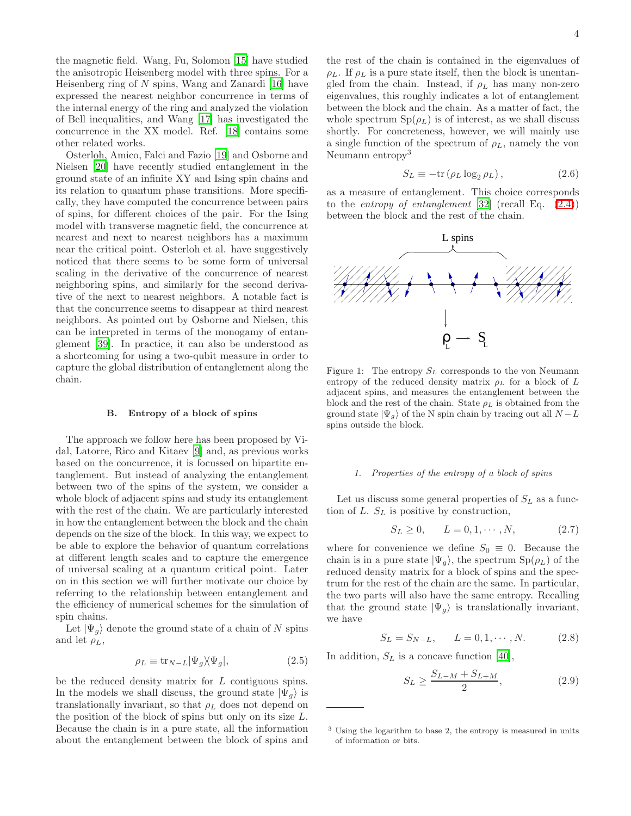the magnetic field. Wang, Fu, Solomon [\[15](#page-24-14)] have studied the anisotropic Heisenberg model with three spins. For a Heisenberg ring of  $N$  spins, Wang and Zanardi [\[16\]](#page-24-15) have expressed the nearest neighbor concurrence in terms of the internal energy of the ring and analyzed the violation of Bell inequalities, and Wang [\[17](#page-24-16)] has investigated the concurrence in the XX model. Ref. [\[18\]](#page-24-17) contains some other related works.

Osterloh, Amico, Falci and Fazio [\[19](#page-24-18)] and Osborne and Nielsen [\[20\]](#page-24-19) have recently studied entanglement in the ground state of an infinite XY and Ising spin chains and its relation to quantum phase transitions. More specifically, they have computed the concurrence between pairs of spins, for different choices of the pair. For the Ising model with transverse magnetic field, the concurrence at nearest and next to nearest neighbors has a maximum near the critical point. Osterloh et al. have suggestively noticed that there seems to be some form of universal scaling in the derivative of the concurrence of nearest neighboring spins, and similarly for the second derivative of the next to nearest neighbors. A notable fact is that the concurrence seems to disappear at third nearest neighbors. As pointed out by Osborne and Nielsen, this can be interpreted in terms of the monogamy of entanglement [\[39\]](#page-24-38). In practice, it can also be understood as a shortcoming for using a two-qubit measure in order to capture the global distribution of entanglement along the chain.

## B. Entropy of a block of spins

The approach we follow here has been proposed by Vidal, Latorre, Rico and Kitaev [\[9](#page-24-8)] and, as previous works based on the concurrence, it is focussed on bipartite entanglement. But instead of analyzing the entanglement between two of the spins of the system, we consider a whole block of adjacent spins and study its entanglement with the rest of the chain. We are particularly interested in how the entanglement between the block and the chain depends on the size of the block. In this way, we expect to be able to explore the behavior of quantum correlations at different length scales and to capture the emergence of universal scaling at a quantum critical point. Later on in this section we will further motivate our choice by referring to the relationship between entanglement and the efficiency of numerical schemes for the simulation of spin chains.

Let  $|\Psi_g\rangle$  denote the ground state of a chain of N spins and let  $\rho_L$ ,

$$
\rho_L \equiv \text{tr}_{N-L} |\Psi_g\rangle\langle\Psi_g|,\tag{2.5}
$$

be the reduced density matrix for L contiguous spins. In the models we shall discuss, the ground state  $|\Psi_{q}\rangle$  is translationally invariant, so that  $\rho_L$  does not depend on the position of the block of spins but only on its size L. Because the chain is in a pure state, all the information about the entanglement between the block of spins and

the rest of the chain is contained in the eigenvalues of  $\rho_L$ . If  $\rho_L$  is a pure state itself, then the block is unentangled from the chain. Instead, if  $\rho_L$  has many non-zero eigenvalues, this roughly indicates a lot of entanglement between the block and the chain. As a matter of fact, the whole spectrum  $Sp(\rho_L)$  is of interest, as we shall discuss shortly. For concreteness, however, we will mainly use a single function of the spectrum of  $\rho_L$ , namely the von Neumann entropy<sup>3</sup>

$$
S_L \equiv -\text{tr} \left( \rho_L \log_2 \rho_L \right), \tag{2.6}
$$

as a measure of entanglement. This choice corresponds to the *entropy of entanglement* [\[32\]](#page-24-31) (recall Eq.  $(2.4)$ ) between the block and the rest of the chain.



Figure 1: The entropy  $S_L$  corresponds to the von Neumann entropy of the reduced density matrix  $\rho_L$  for a block of  $L$ adjacent spins, and measures the entanglement between the block and the rest of the chain. State  $\rho_L$  is obtained from the ground state  $|\Psi_g\rangle$  of the N spin chain by tracing out all  $N - L$ spins outside the block.

### 1. Properties of the entropy of a block of spins

Let us discuss some general properties of  $S_L$  as a function of L.  $S_L$  is positive by construction,

$$
S_L \ge 0, \qquad L = 0, 1, \cdots, N,\tag{2.7}
$$

where for convenience we define  $S_0 \equiv 0$ . Because the chain is in a pure state  $|\Psi_g\rangle$ , the spectrum  $Sp(\rho_L)$  of the reduced density matrix for a block of spins and the spectrum for the rest of the chain are the same. In particular, the two parts will also have the same entropy. Recalling that the ground state  $|\Psi_{g}\rangle$  is translationally invariant, we have

$$
S_L = S_{N-L}, \qquad L = 0, 1, \cdots, N. \tag{2.8}
$$

In addition,  $S_L$  is a concave function [\[40\]](#page-24-39),

<span id="page-3-0"></span>
$$
S_L \ge \frac{S_{L-M} + S_{L+M}}{2},\tag{2.9}
$$

<sup>3</sup> Using the logarithm to base 2, the entropy is measured in units of information or bits.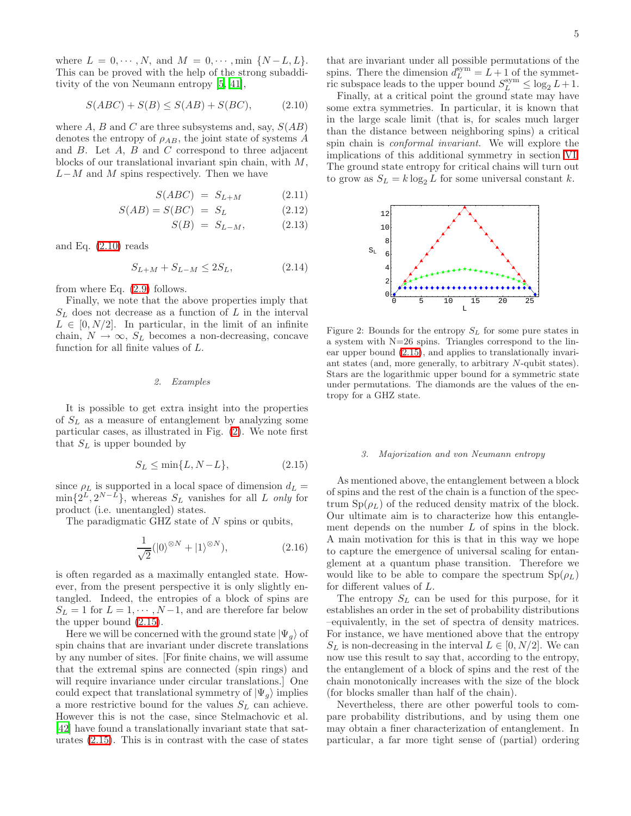where  $L = 0, \dots, N$ , and  $M = 0, \dots, \min \{N - L, L\}.$ This can be proved with the help of the strong subadditivity of the von Neumann entropy [\[5](#page-24-4), [41\]](#page-24-40),

<span id="page-4-0"></span>
$$
S(ABC) + S(B) \leq S(AB) + S(BC),\tag{2.10}
$$

where A, B and C are three subsystems and, say,  $S(AB)$ denotes the entropy of  $\rho_{AB}$ , the joint state of systems A and  $B$ . Let  $A$ ,  $B$  and  $C$  correspond to three adjacent blocks of our translational invariant spin chain, with M,  $L-M$  and M spins respectively. Then we have

$$
S(ABC) = S_{L+M} \tag{2.11}
$$

$$
S(AB) = S(BC) = S_L \tag{2.12}
$$

$$
S(B) = S_{L-M}, \qquad (2.13)
$$

and Eq.  $(2.10)$  reads

$$
S_{L+M} + S_{L-M} \le 2S_L, \tag{2.14}
$$

from where Eq. [\(2.9\)](#page-3-0) follows.

Finally, we note that the above properties imply that  $S_L$  does not decrease as a function of L in the interval  $L \in [0, N/2]$ . In particular, in the limit of an infinite chain,  $N \to \infty$ ,  $S_L$  becomes a non-decreasing, concave function for all finite values of L.

# 2. Examples

It is possible to get extra insight into the properties of  $S_L$  as a measure of entanglement by analyzing some particular cases, as illustrated in Fig. [\(2\)](#page-4-1). We note first that  $S_L$  is upper bounded by

<span id="page-4-2"></span>
$$
S_L \le \min\{L, N - L\},\tag{2.15}
$$

since  $\rho_L$  is supported in a local space of dimension  $d_L =$  $\min\{2^L, 2^{N-L}\},\$  whereas  $S_L$  vanishes for all L only for product (i.e. unentangled) states.

The paradigmatic GHZ state of  $N$  spins or qubits,

$$
\frac{1}{\sqrt{2}}(|0\rangle^{\otimes N} + |1\rangle^{\otimes N}),\tag{2.16}
$$

is often regarded as a maximally entangled state. However, from the present perspective it is only slightly entangled. Indeed, the entropies of a block of spins are  $S_L = 1$  for  $L = 1, \dots, N-1$ , and are therefore far below the upper bound [\(2.15\)](#page-4-2).

Here we will be concerned with the ground state  $|\Psi_g\rangle$  of spin chains that are invariant under discrete translations by any number of sites. [For finite chains, we will assume that the extremal spins are connected (spin rings) and will require invariance under circular translations.] One could expect that translational symmetry of  $|\Psi_{g}\rangle$  implies a more restrictive bound for the values  $S_L$  can achieve. However this is not the case, since Stelmachovic et al. [\[42\]](#page-24-41) have found a translationally invariant state that saturates [\(2.15\)](#page-4-2). This is in contrast with the case of states

that are invariant under all possible permutations of the spins. There the dimension  $d_L^{\text{sym}} = L + 1$  of the symmetric subspace leads to the upper bound  $S_L^{\text{sym}} \leq \log_2 L + 1$ .

Finally, at a critical point the ground state may have some extra symmetries. In particular, it is known that in the large scale limit (that is, for scales much larger than the distance between neighboring spins) a critical spin chain is conformal invariant. We will explore the implications of this additional symmetry in section [VI.](#page-16-0) The ground state entropy for critical chains will turn out to grow as  $S_L = k \log_2 L$  for some universal constant k.



<span id="page-4-1"></span>Figure 2: Bounds for the entropy  $S_L$  for some pure states in a system with N=26 spins. Triangles correspond to the linear upper bound [\(2.15\)](#page-4-2), and applies to translationally invariant states (and, more generally, to arbitrary N-qubit states). Stars are the logarithmic upper bound for a symmetric state under permutations. The diamonds are the values of the entropy for a GHZ state.

### 3. Majorization and von Neumann entropy

As mentioned above, the entanglement between a block of spins and the rest of the chain is a function of the spectrum  $Sp(\rho_L)$  of the reduced density matrix of the block. Our ultimate aim is to characterize how this entanglement depends on the number L of spins in the block. A main motivation for this is that in this way we hope to capture the emergence of universal scaling for entanglement at a quantum phase transition. Therefore we would like to be able to compare the spectrum  $Sp(\rho_L)$ for different values of L.

The entropy  $S_L$  can be used for this purpose, for it establishes an order in the set of probability distributions –equivalently, in the set of spectra of density matrices. For instance, we have mentioned above that the entropy  $S_L$  is non-decreasing in the interval  $L \in [0, N/2]$ . We can now use this result to say that, according to the entropy, the entanglement of a block of spins and the rest of the chain monotonically increases with the size of the block (for blocks smaller than half of the chain).

Nevertheless, there are other powerful tools to compare probability distributions, and by using them one may obtain a finer characterization of entanglement. In particular, a far more tight sense of (partial) ordering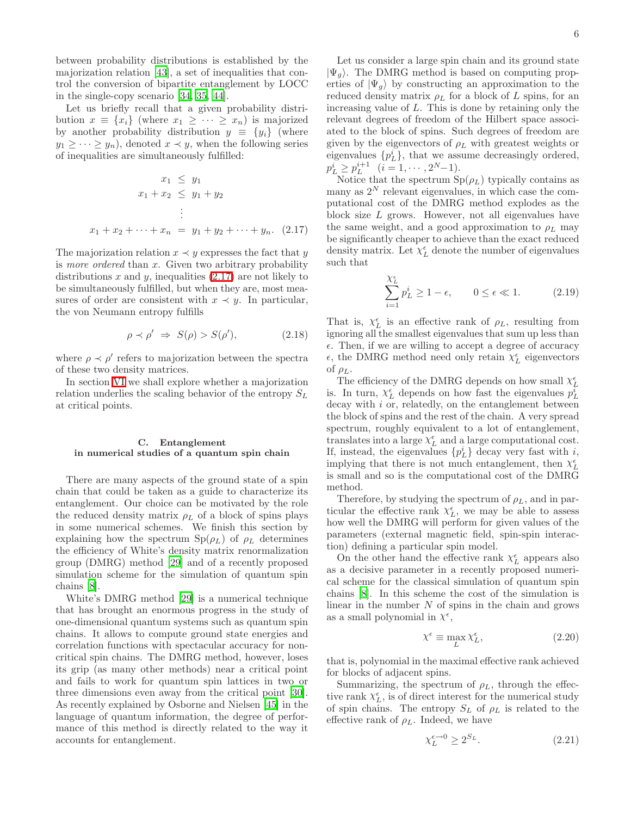between probability distributions is established by the majorization relation [\[43](#page-24-42)], a set of inequalities that control the conversion of bipartite entanglement by LOCC in the single-copy scenario [\[34,](#page-24-33) [35,](#page-24-34) [44\]](#page-24-43).

Let us briefly recall that a given probability distribution  $x \equiv \{x_i\}$  (where  $x_1 \geq \cdots \geq x_n$ ) is majorized by another probability distribution  $y \equiv \{y_i\}$  (where  $y_1 \geq \cdots \geq y_n$ , denoted  $x \prec y$ , when the following series of inequalities are simultaneously fulfilled:

<span id="page-5-0"></span>
$$
x_1 \le y_1
$$
  

$$
x_1 + x_2 \le y_1 + y_2
$$
  

$$
\vdots
$$
  

$$
x_1 + x_2 + \dots + x_n = y_1 + y_2 + \dots + y_n. \quad (2.17)
$$

The majorization relation  $x \prec y$  expresses the fact that y is more ordered than  $x$ . Given two arbitrary probability distributions  $x$  and  $y$ , inequalities [\(2.17\)](#page-5-0) are not likely to be simultaneously fulfilled, but when they are, most measures of order are consistent with  $x \prec y$ . In particular, the von Neumann entropy fulfills

$$
\rho \prec \rho' \Rightarrow S(\rho) > S(\rho'), \tag{2.18}
$$

where  $\rho \prec \rho'$  refers to majorization between the spectra of these two density matrices.

In section [VI](#page-16-0) we shall explore whether a majorization relation underlies the scaling behavior of the entropy  $S_L$ at critical points.

## <span id="page-5-1"></span>C. Entanglement in numerical studies of a quantum spin chain

There are many aspects of the ground state of a spin chain that could be taken as a guide to characterize its entanglement. Our choice can be motivated by the role the reduced density matrix  $\rho_L$  of a block of spins plays in some numerical schemes. We finish this section by explaining how the spectrum  $\text{Sp}(\rho_L)$  of  $\rho_L$  determines the efficiency of White's density matrix renormalization group (DMRG) method [\[29](#page-24-28)] and of a recently proposed simulation scheme for the simulation of quantum spin chains [\[8\]](#page-24-7).

White's DMRG method [\[29\]](#page-24-28) is a numerical technique that has brought an enormous progress in the study of one-dimensional quantum systems such as quantum spin chains. It allows to compute ground state energies and correlation functions with spectacular accuracy for noncritical spin chains. The DMRG method, however, loses its grip (as many other methods) near a critical point and fails to work for quantum spin lattices in two or three dimensions even away from the critical point [\[30\]](#page-24-29). As recently explained by Osborne and Nielsen [\[45](#page-25-0)] in the language of quantum information, the degree of performance of this method is directly related to the way it accounts for entanglement.

Let us consider a large spin chain and its ground state  $|\Psi_{q}\rangle$ . The DMRG method is based on computing properties of  $|\Psi_{g}\rangle$  by constructing an approximation to the reduced density matrix  $\rho_L$  for a block of L spins, for an increasing value of L. This is done by retaining only the relevant degrees of freedom of the Hilbert space associated to the block of spins. Such degrees of freedom are given by the eigenvectors of  $\rho_L$  with greatest weights or eigenvalues  $\{p_L^i\}$ , that we assume decreasingly ordered,  $p_L^i \geq p_L^{i+1}$   $(i = 1, \cdots, 2^N-1).$ 

Notice that the spectrum  $\text{Sp}(\rho_L)$  typically contains as many as  $2^N$  relevant eigenvalues, in which case the computational cost of the DMRG method explodes as the block size L grows. However, not all eigenvalues have the same weight, and a good approximation to  $\rho_L$  may be significantly cheaper to achieve than the exact reduced density matrix. Let  $\chi^{\epsilon}_L$  denote the number of eigenvalues such that

$$
\sum_{i=1}^{\chi_L^{\epsilon}} p_L^i \ge 1 - \epsilon, \qquad 0 \le \epsilon \ll 1.
$$
 (2.19)

That is,  $\chi_L^{\epsilon}$  is an effective rank of  $\rho_L$ , resulting from ignoring all the smallest eigenvalues that sum up less than  $\epsilon$ . Then, if we are willing to accept a degree of accuracy  $\epsilon,$  the DMRG method need only retain  $\chi^{\epsilon}_{L}$  eigenvectors of  $\rho_L$ .

The efficiency of the DMRG depends on how small  $\chi_{\tilde{L}}^{\epsilon}$ is. In turn,  $\chi_L^{\epsilon}$  depends on how fast the eigenvalues  $p_L^{\bar{i}}$ decay with i or, relatedly, on the entanglement between the block of spins and the rest of the chain. A very spread spectrum, roughly equivalent to a lot of entanglement, translates into a large  $\chi^{\epsilon}_{L}$  and a large computational cost. If, instead, the eigenvalues  $\{p_L^i\}$  decay very fast with *i*, implying that there is not much entanglement, then  $X^\epsilon_L$ is small and so is the computational cost of the DMRG method.

Therefore, by studying the spectrum of  $\rho_L$ , and in particular the effective rank  $\chi_L^{\epsilon}$ , we may be able to assess how well the DMRG will perform for given values of the parameters (external magnetic field, spin-spin interaction) defining a particular spin model.

On the other hand the effective rank  $\chi^\epsilon_L$  appears also as a decisive parameter in a recently proposed numerical scheme for the classical simulation of quantum spin chains [\[8\]](#page-24-7). In this scheme the cost of the simulation is linear in the number  $N$  of spins in the chain and grows as a small polynomial in  $\chi^{\epsilon}$ ,

$$
\chi^{\epsilon} \equiv \max_{L} \chi_L^{\epsilon},\tag{2.20}
$$

that is, polynomial in the maximal effective rank achieved for blocks of adjacent spins.

Summarizing, the spectrum of  $\rho_L$ , through the effective rank  $\chi_L^\epsilon$ , is of direct interest for the numerical study of spin chains. The entropy  $S_L$  of  $\rho_L$  is related to the effective rank of  $\rho_L$ . Indeed, we have

<span id="page-5-2"></span>
$$
\chi_L^{\epsilon \to 0} \ge 2^{S_L}.\tag{2.21}
$$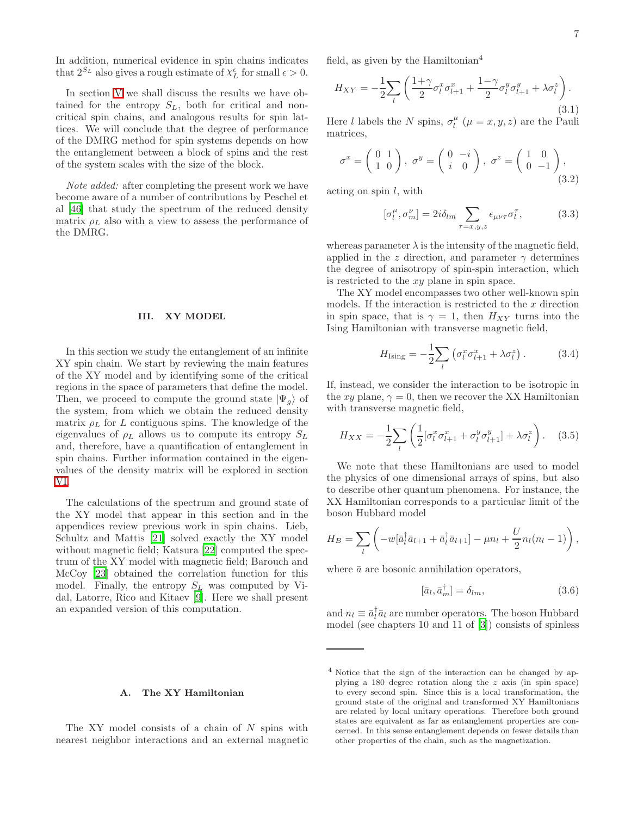In addition, numerical evidence in spin chains indicates that  $2^{S_L}$  also gives a rough estimate of  $\chi_L^{\epsilon}$  for small  $\epsilon > 0$ .

In section [V](#page-15-0) we shall discuss the results we have obtained for the entropy  $S_L$ , both for critical and noncritical spin chains, and analogous results for spin lattices. We will conclude that the degree of performance of the DMRG method for spin systems depends on how the entanglement between a block of spins and the rest of the system scales with the size of the block.

Note added: after completing the present work we have become aware of a number of contributions by Peschel et al [\[46\]](#page-25-1) that study the spectrum of the reduced density matrix  $\rho_L$  also with a view to assess the performance of the DMRG.

## III. XY MODEL

<span id="page-6-0"></span>In this section we study the entanglement of an infinite XY spin chain. We start by reviewing the main features of the XY model and by identifying some of the critical regions in the space of parameters that define the model. Then, we proceed to compute the ground state  $|\Psi_q\rangle$  of the system, from which we obtain the reduced density matrix  $\rho_L$  for L contiguous spins. The knowledge of the eigenvalues of  $\rho_L$  allows us to compute its entropy  $S_L$ and, therefore, have a quantification of entanglement in spin chains. Further information contained in the eigenvalues of the density matrix will be explored in section [VI.](#page-16-0)

The calculations of the spectrum and ground state of the XY model that appear in this section and in the appendices review previous work in spin chains. Lieb, Schultz and Mattis [\[21](#page-24-20)] solved exactly the XY model without magnetic field; Katsura [\[22\]](#page-24-21) computed the spectrum of the XY model with magnetic field; Barouch and McCoy [\[23\]](#page-24-22) obtained the correlation function for this model. Finally, the entropy  $S_L$  was computed by Vidal, Latorre, Rico and Kitaev [\[9](#page-24-8)]. Here we shall present an expanded version of this computation.

### A. The XY Hamiltonian

The XY model consists of a chain of N spins with nearest neighbor interactions and an external magnetic field, as given by the Hamiltonian<sup>4</sup>

<span id="page-6-2"></span>
$$
H_{XY} = -\frac{1}{2} \sum_{l} \left( \frac{1+\gamma}{2} \sigma_l^x \sigma_{l+1}^x + \frac{1-\gamma}{2} \sigma_l^y \sigma_{l+1}^y + \lambda \sigma_l^z \right). \tag{3.1}
$$

<span id="page-6-3"></span>Here *l* labels the *N* spins,  $\sigma_l^{\mu}$  ( $\mu = x, y, z$ ) are the Pauli matrices,

<span id="page-6-4"></span>
$$
\sigma^x = \begin{pmatrix} 0 & 1 \\ 1 & 0 \end{pmatrix}, \ \sigma^y = \begin{pmatrix} 0 & -i \\ i & 0 \end{pmatrix}, \ \sigma^z = \begin{pmatrix} 1 & 0 \\ 0 & -1 \end{pmatrix}, \tag{3.2}
$$

acting on spin  $l$ , with

$$
[\sigma_l^{\mu}, \sigma_m^{\nu}] = 2i\delta_{lm} \sum_{\tau=x,y,z} \epsilon_{\mu\nu\tau} \sigma_l^{\tau}, \qquad (3.3)
$$

whereas parameter  $\lambda$  is the intensity of the magnetic field, applied in the z direction, and parameter  $\gamma$  determines the degree of anisotropy of spin-spin interaction, which is restricted to the xy plane in spin space.

The XY model encompasses two other well-known spin models. If the interaction is restricted to the  $x$  direction in spin space, that is  $\gamma = 1$ , then  $H_{XY}$  turns into the Ising Hamiltonian with transverse magnetic field,

<span id="page-6-5"></span><span id="page-6-1"></span>
$$
H_{\text{Ising}} = -\frac{1}{2} \sum_{l} \left( \sigma_l^x \sigma_{l+1}^x + \lambda \sigma_l^z \right). \tag{3.4}
$$

If, instead, we consider the interaction to be isotropic in the xy plane,  $\gamma = 0$ , then we recover the XX Hamiltonian with transverse magnetic field,

$$
H_{XX} = -\frac{1}{2} \sum_{l} \left( \frac{1}{2} [\sigma_l^x \sigma_{l+1}^x + \sigma_l^y \sigma_{l+1}^y] + \lambda \sigma_l^z \right). \tag{3.5}
$$

We note that these Hamiltonians are used to model the physics of one dimensional arrays of spins, but also to describe other quantum phenomena. For instance, the XX Hamiltonian corresponds to a particular limit of the boson Hubbard model

$$
H_B = \sum_l \left( -w[\bar{a}_l^\dagger \bar{a}_{l+1} + \bar{a}_l^\dagger \bar{a}_{l+1}] - \mu n_l + \frac{U}{2} n_l(n_l - 1) \right),
$$

where  $\bar{a}$  are bosonic annihilation operators,

$$
[\bar{a}_l, \bar{a}_m^\dagger] = \delta_{lm},\tag{3.6}
$$

and  $n_l \equiv \bar{a}_l^{\dagger} \bar{a}_l$  are number operators. The boson Hubbard model (see chapters 10 and 11 of [\[3](#page-24-2)]) consists of spinless

<sup>4</sup> Notice that the sign of the interaction can be changed by applying a 180 degree rotation along the z axis (in spin space) to every second spin. Since this is a local transformation, the ground state of the original and transformed XY Hamiltonians are related by local unitary operations. Therefore both ground states are equivalent as far as entanglement properties are concerned. In this sense entanglement depends on fewer details than other properties of the chain, such as the magnetization.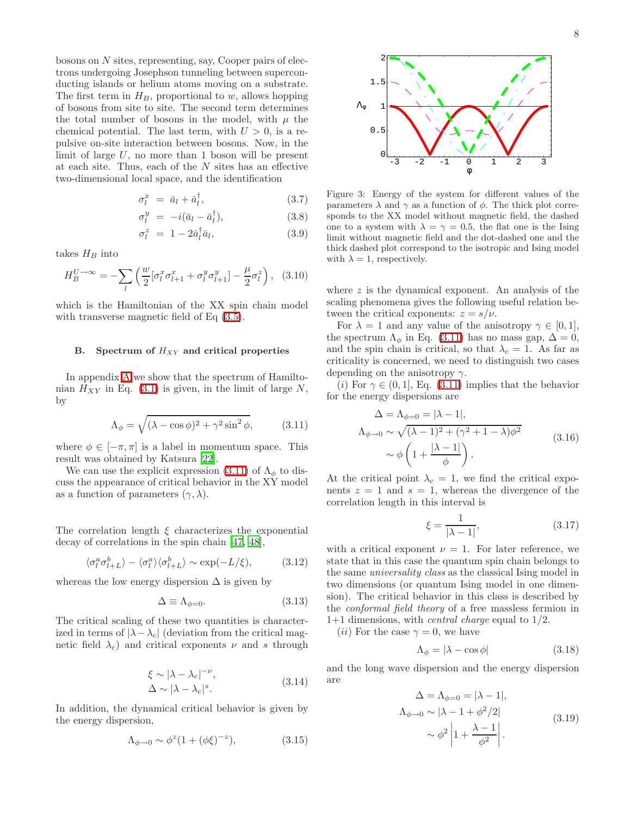bosons on N sites, representing, say, Cooper pairs of electrons undergoing Josephson tunneling between superconducting islands or helium atoms moving on a substrate. The first term in  $H_B$ , proportional to w, allows hopping of bosons from site to site. The second term determines the total number of bosons in the model, with  $\mu$  the chemical potential. The last term, with  $U > 0$ , is a repulsive on-site interaction between bosons. Now, in the limit of large  $U$ , no more than 1 boson will be present at each site. Thus, each of the  $N$  sites has an effective two-dimensional local space, and the identification

$$
\sigma_l^x = \bar{a}_l + \bar{a}_l^{\dagger}, \qquad (3.7)
$$

$$
\sigma_l^y = -i(\bar{a}_l - \bar{a}_l^{\dagger}), \qquad (3.8)
$$

$$
\sigma_l^z = 1 - 2\bar{a}_l^\dagger \bar{a}_l, \tag{3.9}
$$

takes  $H_B$  into

$$
H_B^{U \to \infty} = -\sum_l \left( \frac{w}{2} \left[ \sigma_l^x \sigma_{l+1}^x + \sigma_l^y \sigma_{l+1}^y \right] - \frac{\mu}{2} \sigma_l^z \right), \quad (3.10)
$$

which is the Hamiltonian of the XX spin chain model with transverse magnetic field of Eq  $(3.5)$ .

# B. Spectrum of  $H_{XY}$  and critical properties

<span id="page-7-0"></span>In appendix [A](#page-21-0) we show that the spectrum of Hamiltonian  $H_{XY}$  in Eq. [\(3.1\)](#page-6-2) is given, in the limit of large N, by

$$
\Lambda_{\phi} = \sqrt{(\lambda - \cos \phi)^2 + \gamma^2 \sin^2 \phi}, \quad (3.11)
$$

where  $\phi \in [-\pi, \pi]$  is a label in momentum space. This result was obtained by Katsura [\[22\]](#page-24-21).

We can use the explicit expression [\(3.11\)](#page-7-0) of  $\Lambda_{\phi}$  to discuss the appearance of critical behavior in the XY model as a function of parameters  $(\gamma, \lambda)$ .

The correlation length  $\xi$  characterizes the exponential decay of correlations in the spin chain [\[47,](#page-25-2) [48\]](#page-25-3),

$$
\langle \sigma_l^a \sigma_{l+L}^b \rangle - \langle \sigma_l^a \rangle \langle \sigma_{l+L}^b \rangle \sim \exp(-L/\xi), \tag{3.12}
$$

whereas the low energy dispersion  $\Delta$  is given by

$$
\Delta \equiv \Lambda_{\phi=0}.\tag{3.13}
$$

The critical scaling of these two quantities is characterized in terms of  $|\lambda-\lambda_c|$  (deviation from the critical magnetic field  $\lambda_c$ ) and critical exponents  $\nu$  and s through

$$
\xi \sim |\lambda - \lambda_c|^{-\nu},
$$
  
\n
$$
\Delta \sim |\lambda - \lambda_c|^s.
$$
\n(3.14)

In addition, the dynamical critical behavior is given by the energy dispersion,

$$
\Lambda_{\phi \to 0} \sim \phi^z (1 + (\phi \xi)^{-z}), \tag{3.15}
$$



Figure 3: Energy of the system for different values of the parameters  $\lambda$  and  $\gamma$  as a function of  $\phi$ . The thick plot corresponds to the XX model without magnetic field, the dashed one to a system with  $\lambda = \gamma = 0.5$ , the flat one is the Ising limit without magnetic field and the dot-dashed one and the thick dashed plot correspond to the isotropic and Ising model with  $\lambda = 1$ , respectively.

where  $z$  is the dynamical exponent. An analysis of the scaling phenomena gives the following useful relation between the critical exponents:  $z = s/\nu$ .

For  $\lambda = 1$  and any value of the anisotropy  $\gamma \in [0, 1]$ , the spectrum  $\Lambda_{\phi}$  in Eq. [\(3.11\)](#page-7-0) has no mass gap,  $\Delta = 0$ , and the spin chain is critical, so that  $\lambda_c = 1$ . As far as criticality is concerned, we need to distinguish two cases depending on the anisotropy  $\gamma$ .

(i) For  $\gamma \in (0, 1]$ , Eq. [\(3.11\)](#page-7-0) implies that the behavior for the energy dispersions are

$$
\Delta = \Lambda_{\phi=0} = |\lambda - 1|,
$$
  
\n
$$
\Lambda_{\phi \to 0} \sim \sqrt{(\lambda - 1)^2 + (\gamma^2 + 1 - \lambda)\phi^2}
$$
  
\n
$$
\sim \phi \left(1 + \frac{|\lambda - 1|}{\phi}\right).
$$
\n(3.16)

At the critical point  $\lambda_c = 1$ , we find the critical exponents  $z = 1$  and  $s = 1$ , whereas the divergence of the correlation length in this interval is

$$
\xi = \frac{1}{|\lambda - 1|},\tag{3.17}
$$

with a critical exponent  $\nu = 1$ . For later reference, we state that in this case the quantum spin chain belongs to the same universality class as the classical Ising model in two dimensions (or quantum Ising model in one dimension). The critical behavior in this class is described by the conformal field theory of a free massless fermion in 1+1 dimensions, with *central charge* equal to  $1/2$ .

(*ii*) For the case  $\gamma = 0$ , we have

$$
\Lambda_{\phi} = |\lambda - \cos \phi| \tag{3.18}
$$

and the long wave dispersion and the energy dispersion are

$$
\Delta = \Lambda_{\phi=0} = |\lambda - 1|,
$$
  
\n
$$
\Lambda_{\phi \to 0} \sim |\lambda - 1 + \phi^2/2|
$$
  
\n
$$
\sim \phi^2 \left| 1 + \frac{\lambda - 1}{\phi^2} \right|.
$$
\n(3.19)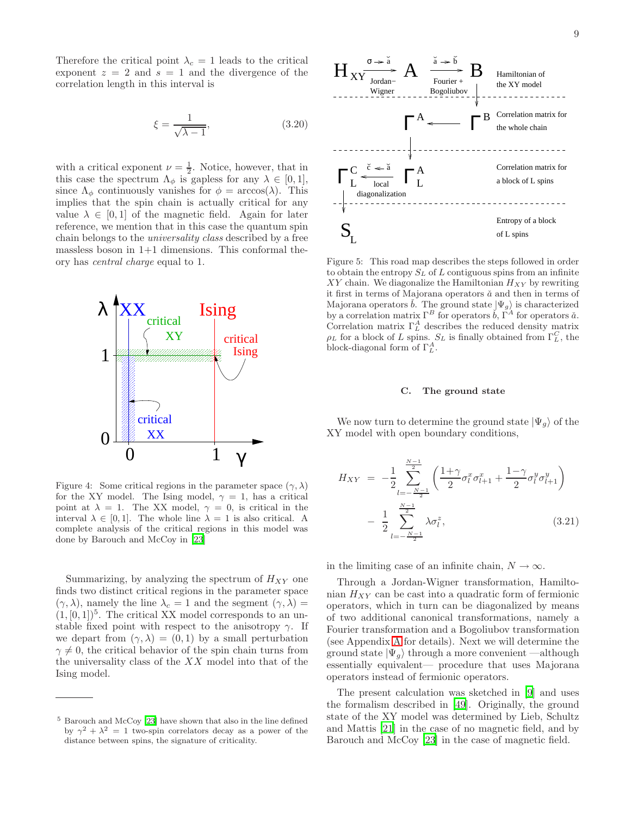Therefore the critical point  $\lambda_c = 1$  leads to the critical exponent  $z = 2$  and  $s = 1$  and the divergence of the correlation length in this interval is

$$
\xi = \frac{1}{\sqrt{\lambda - 1}},\tag{3.20}
$$

with a critical exponent  $\nu = \frac{1}{2}$ . Notice, however, that in this case the spectrum  $\Lambda_{\phi}$  is gapless for any  $\lambda \in [0,1],$ since  $\Lambda_{\phi}$  continuously vanishes for  $\phi = \arccos(\lambda)$ . This implies that the spin chain is actually critical for any value  $\lambda \in [0, 1]$  of the magnetic field. Again for later reference, we mention that in this case the quantum spin chain belongs to the universality class described by a free massless boson in  $1+1$  dimensions. This conformal theory has central charge equal to 1.



Figure 4: Some critical regions in the parameter space  $(\gamma, \lambda)$ for the XY model. The Ising model,  $\gamma = 1$ , has a critical point at  $\lambda = 1$ . The XX model,  $\gamma = 0$ , is critical in the interval  $\lambda \in [0, 1]$ . The whole line  $\lambda = 1$  is also critical. A complete analysis of the critical regions in this model was done by Barouch and McCoy in [\[23](#page-24-22)]

Summarizing, by analyzing the spectrum of  $H_{XY}$  one finds two distinct critical regions in the parameter space  $(\gamma, \lambda)$ , namely the line  $\lambda_c = 1$  and the segment  $(\gamma, \lambda) =$  $(1,[0,1])^5$ . The critical XX model corresponds to an unstable fixed point with respect to the anisotropy  $\gamma$ . If we depart from  $(\gamma, \lambda) = (0, 1)$  by a small perturbation  $\gamma \neq 0$ , the critical behavior of the spin chain turns from the universality class of the  $XX$  model into that of the Ising model.



Figure 5: This road map describes the steps followed in order to obtain the entropy  $S_L$  of  $L$  contiguous spins from an infinite  $XY$  chain. We diagonalize the Hamiltonian  $H_{XY}$  by rewriting it first in terms of Majorana operators  $\check{a}$  and then in terms of Majorana operators  $\check{b}$ . The ground state  $|\Psi_g\rangle$  is characterized by a correlation matrix  $\Gamma^B$  for operators  $\check{b}$ ,  $\check{\Gamma}^A$  for operators  $\check{a}$ . Correlation matrix  $\Gamma_L^A$  describes the reduced density matrix  $\rho_L$  for a block of L spins.  $S_L$  is finally obtained from  $\Gamma_L^C$ , the block-diagonal form of  $\Gamma_L^A$ .

#### C. The ground state

We now turn to determine the ground state  $|\Psi_{q}\rangle$  of the XY model with open boundary conditions,

$$
H_{XY} = -\frac{1}{2} \sum_{l=-\frac{N-1}{2}}^{\frac{N-1}{2}} \left( \frac{1+\gamma}{2} \sigma_l^x \sigma_{l+1}^x + \frac{1-\gamma}{2} \sigma_l^y \sigma_{l+1}^y \right) - \frac{1}{2} \sum_{l=-\frac{N-1}{2}}^{\frac{N-1}{2}} \lambda \sigma_l^z,
$$
 (3.21)

in the limiting case of an infinite chain,  $N \to \infty$ .

Through a Jordan-Wigner transformation, Hamiltonian  $H_{XY}$  can be cast into a quadratic form of fermionic operators, which in turn can be diagonalized by means of two additional canonical transformations, namely a Fourier transformation and a Bogoliubov transformation (see Appendix [A](#page-21-0) for details). Next we will determine the ground state  $|\Psi_q\rangle$  through a more convenient —although essentially equivalent— procedure that uses Majorana operators instead of fermionic operators.

The present calculation was sketched in [\[9\]](#page-24-8) and uses the formalism described in [\[49\]](#page-25-4). Originally, the ground state of the XY model was determined by Lieb, Schultz and Mattis [\[21\]](#page-24-20) in the case of no magnetic field, and by Barouch and McCoy [\[23\]](#page-24-22) in the case of magnetic field.

<sup>5</sup> Barouch and McCoy [\[23\]](#page-24-22) have shown that also in the line defined by  $\gamma^2 + \lambda^2 = 1$  two-spin correlators decay as a power of the distance between spins, the signature of criticality.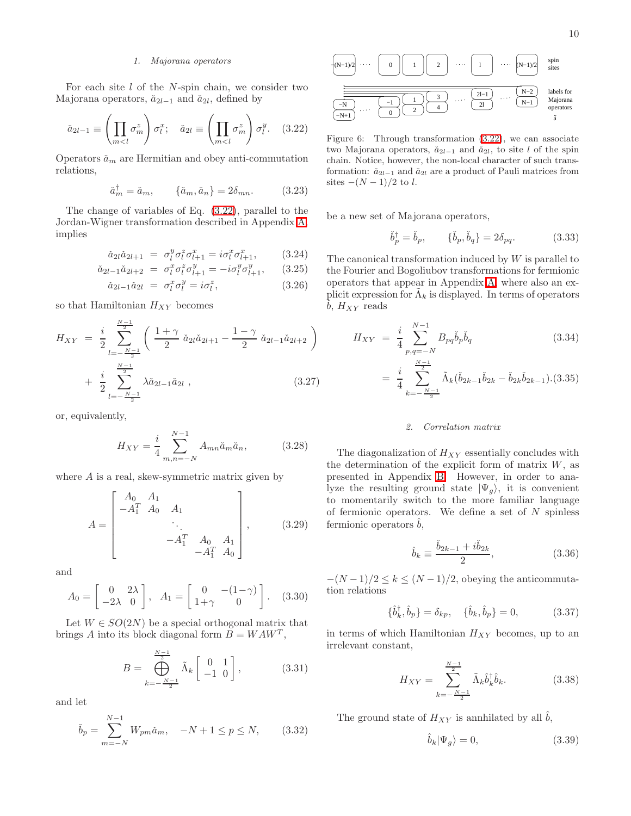## <span id="page-9-0"></span>1. Majorana operators

For each site  $l$  of the  $N$ -spin chain, we consider two Majorana operators,  $\check{a}_{2l-1}$  and  $\check{a}_{2l}$ , defined by

$$
\check{a}_{2l-1} \equiv \left(\prod_{m < l} \sigma_m^z\right) \sigma_l^x; \quad \check{a}_{2l} \equiv \left(\prod_{m < l} \sigma_m^z\right) \sigma_l^y. \tag{3.22}
$$

Operators  $\check{a}_m$  are Hermitian and obey anti-commutation relations,

$$
\check{a}_m^{\dagger} = \check{a}_m, \qquad \{\check{a}_m, \check{a}_n\} = 2\delta_{mn}.
$$
 (3.23)

<span id="page-9-1"></span>The change of variables of Eq. [\(3.22\)](#page-9-0), parallel to the Jordan-Wigner transformation described in Appendix [A,](#page-21-0) implies

$$
\check{a}_{2l}\check{a}_{2l+1} = \sigma_l^y \sigma_l^z \sigma_{l+1}^x = i\sigma_l^x \sigma_{l+1}^x, \qquad (3.24)
$$

$$
\check{a}_{2l-1}\check{a}_{2l+2} = \sigma_l^x \sigma_l^z \sigma_{l+1}^y = -i \sigma_l^y \sigma_{l+1}^y,\qquad(3.25)
$$

$$
\check{a}_{2l-1}\check{a}_{2l} = \sigma_l^x \sigma_l^y = i\sigma_l^z, \qquad (3.26)
$$

so that Hamiltonian  $H_{XY}$  becomes

$$
H_{XY} = \frac{i}{2} \sum_{l=-\frac{N-1}{2}}^{\frac{N-1}{2}} \left( \frac{1+\gamma}{2} \check{a}_{2l} \check{a}_{2l+1} - \frac{1-\gamma}{2} \check{a}_{2l-1} \check{a}_{2l+2} \right) + \frac{i}{2} \sum_{l=-\frac{N-1}{2}}^{\frac{N-1}{2}} \lambda \check{a}_{2l-1} \check{a}_{2l} ,
$$
 (3.27)

or, equivalently,

$$
H_{XY} = \frac{i}{4} \sum_{m,n=-N}^{N-1} A_{mn} \check{a}_m \check{a}_n, \qquad (3.28)
$$

where  $A$  is a real, skew-symmetric matrix given by

$$
A = \begin{bmatrix} A_0 & A_1 & & & \\ -A_1^T & A_0 & A_1 & & \\ & & \ddots & & \\ & & & -A_1^T & A_0 & A_1 \\ & & & & -A_1^T & A_0 \end{bmatrix}, \qquad (3.29)
$$

and

$$
A_0 = \begin{bmatrix} 0 & 2\lambda \\ -2\lambda & 0 \end{bmatrix}, A_1 = \begin{bmatrix} 0 & -(1-\gamma) \\ 1+\gamma & 0 \end{bmatrix}. (3.30)
$$

Let  $W \in SO(2N)$  be a special orthogonal matrix that brings A into its block diagonal form  $B = W A W^T$ ,

$$
B = \bigoplus_{k=-\frac{N-1}{2}}^{\frac{N-1}{2}} \tilde{\Lambda}_k \begin{bmatrix} 0 & 1 \\ -1 & 0 \end{bmatrix},
$$
 (3.31)

and let

$$
\check{b}_p = \sum_{m=-N}^{N-1} W_{pm} \check{a}_m, \quad -N+1 \le p \le N, \quad (3.32)
$$



Figure 6: Through transformation [\(3.22\)](#page-9-0), we can associate two Majorana operators,  $\check{a}_{2l-1}$  and  $\check{a}_{2l}$ , to site l of the spin chain. Notice, however, the non-local character of such transformation:  $\check{a}_{2l-1}$  and  $\check{a}_{2l}$  are a product of Pauli matrices from sites  $-(N-1)/2$  to l.

be a new set of Majorana operators,

$$
\check{b}_p^{\dagger} = \check{b}_p, \qquad {\{\check{b}_p, \check{b}_q\}} = 2\delta_{pq}.
$$
\n(3.33)

The canonical transformation induced by W is parallel to the Fourier and Bogoliubov transformations for fermionic operators that appear in Appendix [A,](#page-21-0) where also an explicit expression for  $\tilde{\Lambda}_k$  is displayed. In terms of operators  $\check{b}$ ,  $H_{XY}$  reads

$$
H_{XY} = \frac{i}{4} \sum_{p,q=-N}^{N-1} B_{pq} \check{b}_p \check{b}_q
$$
 (3.34)

$$
= \frac{i}{4} \sum_{k=-\frac{N-1}{2}}^{\frac{N-1}{2}} \tilde{\Lambda}_k(\check{b}_{2k-1}\check{b}_{2k} - \check{b}_{2k}\check{b}_{2k-1}).(3.35)
$$

#### 2. Correlation matrix

The diagonalization of  $H_{XY}$  essentially concludes with the determination of the explicit form of matrix  $W$ , as presented in Appendix [B.](#page-22-0) However, in order to analyze the resulting ground state  $|\Psi_{q}\rangle$ , it is convenient to momentarily switch to the more familiar language of fermionic operators. We define a set of  $N$  spinless fermionic operators  $b$ ,

$$
\hat{b}_k \equiv \frac{\check{b}_{2k-1} + i\check{b}_{2k}}{2},\tag{3.36}
$$

 $-(N-1)/2 \leq k \leq (N-1)/2$ , obeying the anticommutation relations

$$
\{\hat{b}_{k}^{\dagger}, \hat{b}_{p}\} = \delta_{kp}, \quad \{\hat{b}_{k}, \hat{b}_{p}\} = 0, \tag{3.37}
$$

in terms of which Hamiltonian  $H_{XY}$  becomes, up to an irrelevant constant,

$$
H_{XY} = \sum_{k=-\frac{N-1}{2}}^{\frac{N-1}{2}} \tilde{\Lambda}_k \hat{b}_k^{\dagger} \hat{b}_k.
$$
 (3.38)

The ground state of  $H_{XY}$  is annhilated by all  $b$ ,

$$
\hat{b}_k|\Psi_g\rangle = 0,\t\t(3.39)
$$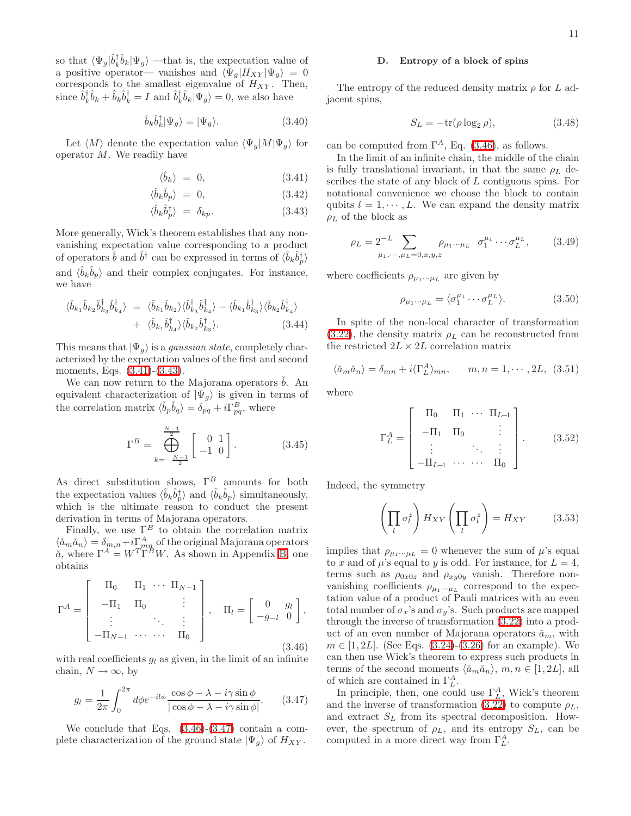so that  $\langle \Psi_g | \hat{b}_k^{\dagger} \hat{b}_k | \Psi_g \rangle$  —that is, the expectation value of a positive operator— vanishes and  $\langle \Psi_g | H_{XY} | \Psi_g \rangle = 0$ corresponds to the smallest eigenvalue of  $H_{XY}$ . Then, since  $\hat{b}_k^{\dagger} \hat{b}_k + \hat{b}_k \hat{b}_k^{\dagger} = I$  and  $\hat{b}_k^{\dagger} \hat{b}_k |\Psi_g\rangle = 0$ , we also have

$$
\hat{b}_k \hat{b}_k^{\dagger} |\Psi_g\rangle = |\Psi_g\rangle. \tag{3.40}
$$

<span id="page-10-0"></span>Let  $\langle M \rangle$  denote the expectation value  $\langle \Psi_q | M | \Psi_q \rangle$  for operator M. We readily have

$$
\langle \hat{b}_k \rangle = 0, \tag{3.41}
$$

$$
\langle \hat{b}_k \hat{b}_p \rangle = 0, \tag{3.42}
$$

$$
\langle \hat{b}_k \hat{b}_p^{\dagger} \rangle = \delta_{kp}.
$$
 (3.43)

More generally, Wick's theorem establishes that any nonvanishing expectation value corresponding to a product of operators  $\hat{b}$  and  $\hat{b}^{\dagger}$  can be expressed in terms of  $\langle \hat{b}_k \hat{b}^{\dagger}_p \rangle$ and  $\langle \hat{b}_k \hat{b}_p \rangle$  and their complex conjugates. For instance, we have

$$
\langle \hat{b}_{k_1} \hat{b}_{k_2} \hat{b}_{k_3}^{\dagger} \hat{b}_{k_4}^{\dagger} \rangle = \langle \hat{b}_{k_1} \hat{b}_{k_2} \rangle \langle \hat{b}_{k_3}^{\dagger} \hat{b}_{k_4}^{\dagger} \rangle - \langle \hat{b}_{k_1} \hat{b}_{k_3}^{\dagger} \rangle \langle \hat{b}_{k_2} \hat{b}_{k_4}^{\dagger} \rangle + \langle \hat{b}_{k_1} \hat{b}_{k_4}^{\dagger} \rangle \langle \hat{b}_{k_2} \hat{b}_{k_3}^{\dagger} \rangle.
$$
 (3.44)

This means that  $|\Psi_q\rangle$  is a *gaussian state*, completely characterized by the expectation values of the first and second moments, Eqs. [\(3.41\)](#page-10-0)-[\(3.43\)](#page-10-0).

We can now return to the Majorana operators  $b$ . An equivalent characterization of  $|\Psi_{g}\rangle$  is given in terms of the correlation matrix  $\langle \check{b}_p \check{b}_q \rangle = \delta_{pq} + i \Gamma_{pq}^B$ , where

$$
\Gamma^{B} = \bigoplus_{k=-\frac{N-1}{2}}^{\frac{N-1}{2}} \begin{bmatrix} 0 & 1 \\ -1 & 0 \end{bmatrix}.
$$
 (3.45)

As direct substitution shows,  $\Gamma^B$  amounts for both the expectation values  $\langle \hat{b}_k \hat{b}_p^{\dagger} \rangle$  and  $\langle \hat{b}_k \hat{b}_p \rangle$  simultaneously, which is the ultimate reason to conduct the present derivation in terms of Majorana operators.

<span id="page-10-1"></span>Finally, we use  $\Gamma^B$  to obtain the correlation matrix  $\langle \check{a}_m \check{a}_n \rangle = \delta_{m,n} + i \Gamma^A_{mn}$  of the original Majorana operators  $\check{a}$ , where  $\Gamma^A = W^T \Gamma^B W$ . As shown in Appendix [B,](#page-22-0) one obtains

$$
\Gamma^{A} = \begin{bmatrix} \Pi_{0} & \Pi_{1} & \cdots & \Pi_{N-1} \\ -\Pi_{1} & \Pi_{0} & & \vdots \\ \vdots & & \ddots & \vdots \\ -\Pi_{N-1} & \cdots & \cdots & \Pi_{0} \end{bmatrix}, \quad \Pi_{l} = \begin{bmatrix} 0 & g_{l} \\ -g_{-l} & 0 \end{bmatrix},
$$
\n(3.46)

<span id="page-10-2"></span>with real coefficients  $q_l$  as given, in the limit of an infinite chain,  $N \to \infty$ , by

$$
g_l = \frac{1}{2\pi} \int_0^{2\pi} d\phi e^{-il\phi} \frac{\cos\phi - \lambda - i\gamma \sin\phi}{|\cos\phi - \lambda - i\gamma \sin\phi|}.
$$
 (3.47)

We conclude that Eqs. [\(3.46\)](#page-10-1)-[\(3.47\)](#page-10-2) contain a complete characterization of the ground state  $|\Psi_g\rangle$  of  $H_{XY}$ .

### D. Entropy of a block of spins

The entropy of the reduced density matrix  $\rho$  for L adjacent spins,

$$
S_L = -\text{tr}(\rho \log_2 \rho),\tag{3.48}
$$

can be computed from  $\Gamma^A$ , Eq. [\(3.46\)](#page-10-1), as follows.

In the limit of an infinite chain, the middle of the chain is fully translational invariant, in that the same  $\rho_L$  describes the state of any block of L contiguous spins. For notational convenience we choose the block to contain qubits  $l = 1, \dots, L$ . We can expand the density matrix  $\rho_L$  of the block as

$$
\rho_L = 2^{-L} \sum_{\mu_1, \cdots, \mu_L = 0, x, y, z} \rho_{\mu_1 \cdots \mu_L} \quad \sigma_1^{\mu_1} \cdots \sigma_L^{\mu_L}, \tag{3.49}
$$

where coefficients  $\rho_{\mu_1\cdots\mu_L}$  are given by

$$
\rho_{\mu_1 \cdots \mu_L} = \langle \sigma_1^{\mu_1} \cdots \sigma_L^{\mu_L} \rangle. \tag{3.50}
$$

In spite of the non-local character of transformation [\(3.22\)](#page-9-0), the density matrix  $\rho_L$  can be reconstructed from the restricted  $2L \times 2L$  correlation matrix

$$
\langle \check{a}_m \check{a}_n \rangle = \delta_{mn} + i(\Gamma_L^A)_{mn}, \qquad m, n = 1, \cdots, 2L, \tag{3.51}
$$

<span id="page-10-3"></span>where

$$
\Gamma_L^A = \begin{bmatrix} \Pi_0 & \Pi_1 & \cdots & \Pi_{L-1} \\ -\Pi_1 & \Pi_0 & & \vdots \\ \vdots & & \ddots & \vdots \\ -\Pi_{L-1} & \cdots & \cdots & \Pi_0 \end{bmatrix} .
$$
 (3.52)

Indeed, the symmetry

$$
\left(\prod_{l} \sigma_{l}^{z}\right) H_{XY}\left(\prod_{l} \sigma_{l}^{z}\right) = H_{XY} \tag{3.53}
$$

implies that  $\rho_{\mu_1\cdots\mu_L} = 0$  whenever the sum of  $\mu$ 's equal to x and of  $\mu$ 's equal to y is odd. For instance, for  $L = 4$ , terms such as  $\rho_{0x0z}$  and  $\rho_{xy0y}$  vanish. Therefore nonvanishing coefficients  $\rho_{\mu_1\cdots\mu_L}$  correspond to the expectation value of a product of Pauli matrices with an even total number of  $\sigma_x$ 's and  $\sigma_y$ 's. Such products are mapped through the inverse of transformation [\(3.22\)](#page-9-0) into a product of an even number of Majorana operators  $\check{a}_m$ , with  $m \in [1, 2L]$ . (See Eqs. [\(3.24\)](#page-9-1)-[\(3.26\)](#page-9-1) for an example). We can then use Wick's theorem to express such products in terms of the second moments  $\langle \check{a}_m \check{a}_n \rangle$ ,  $m, n \in [1, 2L]$ , all of which are contained in  $\Gamma_L^A$ .

In principle, then, one could use  $\Gamma_L^A$ , Wick's theorem and the inverse of transformation [\(3.22\)](#page-9-0) to compute  $\rho_L$ , and extract  $S_L$  from its spectral decomposition. However, the spectrum of  $\rho_L$ , and its entropy  $S_L$ , can be computed in a more direct way from  $\Gamma_L^A$ .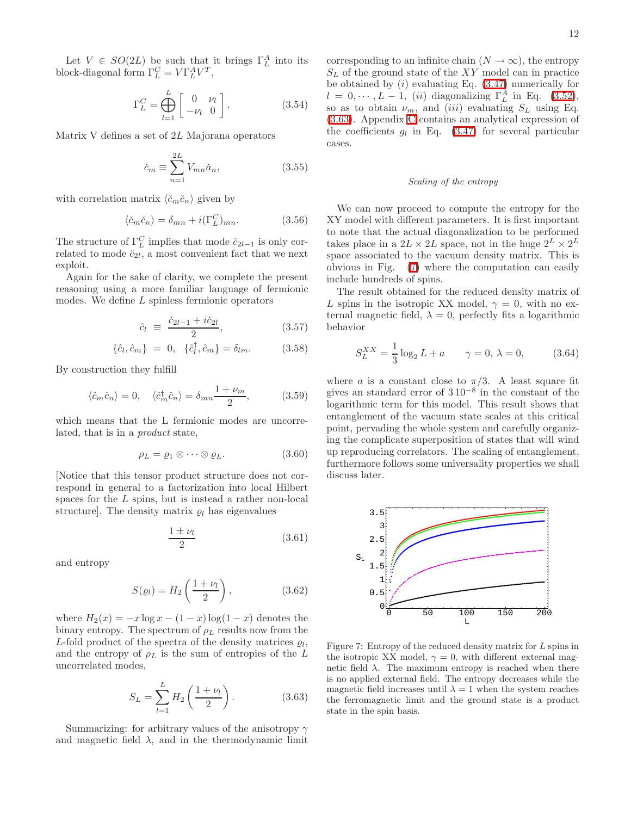Let  $V \in SO(2L)$  be such that it brings  $\Gamma_L^A$  into its block-diagonal form  $\Gamma_L^C = V \Gamma_L^A V^T$ ,

$$
\Gamma_L^C = \bigoplus_{l=1}^L \begin{bmatrix} 0 & \nu_l \\ -\nu_l & 0 \end{bmatrix} . \tag{3.54}
$$

Matrix V defines a set of 2L Majorana operators

$$
\check{c}_m \equiv \sum_{n=1}^{2L} V_{mn} \check{a}_n,\tag{3.55}
$$

with correlation matrix  $\langle \check{c}_m \check{c}_n \rangle$  given by

$$
\langle \check{c}_m \check{c}_n \rangle = \delta_{mn} + i(\Gamma_L^C)_{mn}.
$$
 (3.56)

The structure of  $\Gamma_L^C$  implies that mode  $\check{c}_{2l-1}$  is only correlated to mode  $\check{c}_{2l}$ , a most convenient fact that we next exploit.

Again for the sake of clarity, we complete the present reasoning using a more familiar language of fermionic modes. We define L spinless fermionic operators

$$
\hat{c}_l \equiv \frac{\check{c}_{2l-1} + i\check{c}_{2l}}{2},\tag{3.57}
$$

$$
\{\hat{c}_l, \hat{c}_m\} = 0, \quad \{\hat{c}_l^{\dagger}, \hat{c}_m\} = \delta_{lm}.
$$
 (3.58)

By construction they fulfill

$$
\langle \hat{c}_m \hat{c}_n \rangle = 0, \quad \langle \hat{c}_m^\dagger \hat{c}_n \rangle = \delta_{mn} \frac{1 + \nu_m}{2}, \tag{3.59}
$$

which means that the L fermionic modes are uncorrelated, that is in a product state,

<span id="page-11-2"></span>
$$
\rho_L = \varrho_1 \otimes \cdots \otimes \varrho_L. \tag{3.60}
$$

[Notice that this tensor product structure does not correspond in general to a factorization into local Hilbert spaces for the L spins, but is instead a rather non-local structure]. The density matrix  $\rho_l$  has eigenvalues

$$
\frac{1 \pm \nu_l}{2} \tag{3.61}
$$

and entropy

$$
S(\varrho_l) = H_2\left(\frac{1+\nu_l}{2}\right),\tag{3.62}
$$

<span id="page-11-0"></span>where  $H_2(x) = -x \log x - (1-x) \log(1-x)$  denotes the binary entropy. The spectrum of  $\rho_L$  results now from the L-fold product of the spectra of the density matrices  $\varrho_l$ , and the entropy of  $\rho_L$  is the sum of entropies of the L uncorrelated modes,

$$
S_L = \sum_{l=1}^{L} H_2 \left( \frac{1 + \nu_l}{2} \right). \tag{3.63}
$$

Summarizing: for arbitrary values of the anisotropy  $\gamma$ and magnetic field  $\lambda$ , and in the thermodynamic limit corresponding to an infinite chain  $(N \to \infty)$ , the entropy  $S_L$  of the ground state of the XY model can in practice be obtained by  $(i)$  evaluating Eq.  $(3.47)$  numerically for  $l = 0, \dots, L - 1$ , (ii) diagonalizing  $\Gamma_L^A$  in Eq. [\(3.52\)](#page-10-3), so as to obtain  $\nu_m$ , and *(iii)* evaluating  $S_L$  using Eq. [\(3.63\)](#page-11-0). Appendix [C](#page-23-0) contains an analytical expression of the coefficients  $g_l$  in Eq. [\(3.47\)](#page-10-2) for several particular cases.

### Scaling of the entropy

We can now proceed to compute the entropy for the XY model with different parameters. It is first important to note that the actual diagonalization to be performed takes place in a  $2L \times 2L$  space, not in the huge  $2^L \times 2^L$ space associated to the vacuum density matrix. This is obvious in Fig. [\(7\)](#page-11-1) where the computation can easily include hundreds of spins.

The result obtained for the reduced density matrix of L spins in the isotropic XX model,  $\gamma = 0$ , with no external magnetic field,  $\lambda = 0$ , perfectly fits a logarithmic behavior

$$
S_L^{XX} = \frac{1}{3} \log_2 L + a \qquad \gamma = 0, \ \lambda = 0,
$$
 (3.64)

where a is a constant close to  $\pi/3$ . A least square fit gives an standard error of  $310^{-8}$  in the constant of the logarithmic term for this model. This result shows that entanglement of the vacuum state scales at this critical point, pervading the whole system and carefully organizing the complicate superposition of states that will wind up reproducing correlators. The scaling of entanglement, furthermore follows some universality properties we shall discuss later.



<span id="page-11-1"></span>Figure 7: Entropy of the reduced density matrix for L spins in the isotropic XX model,  $\gamma = 0$ , with different external magnetic field  $\lambda$ . The maximum entropy is reached when there is no applied external field. The entropy decreases while the magnetic field increases until  $\lambda = 1$  when the system reaches the ferromagnetic limit and the ground state is a product state in the spin basis.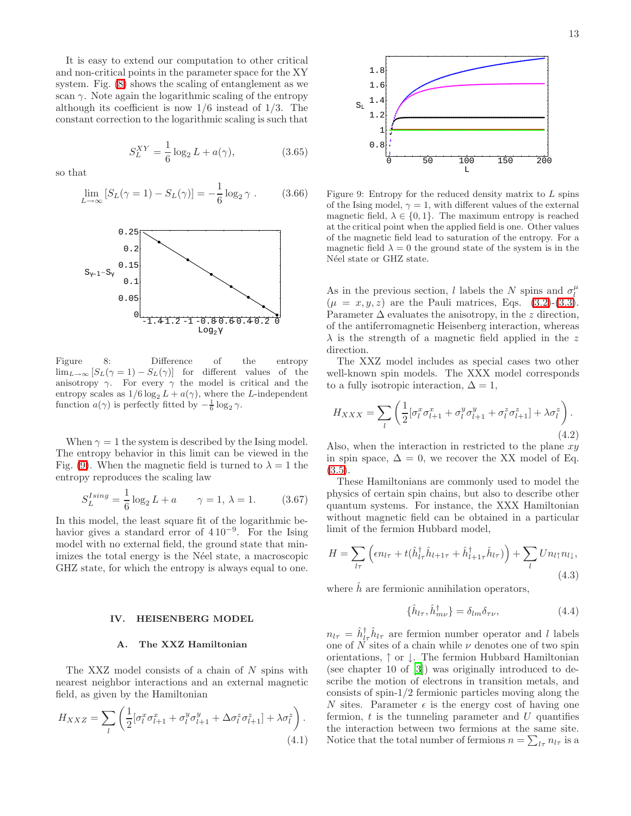It is easy to extend our computation to other critical and non-critical points in the parameter space for the XY system. Fig. [\(8\)](#page-12-1) shows the scaling of entanglement as we scan  $\gamma$ . Note again the logarithmic scaling of the entropy although its coefficient is now  $1/6$  instead of  $1/3$ . The constant correction to the logarithmic scaling is such that

$$
S_L^{XY} = \frac{1}{6} \log_2 L + a(\gamma), \tag{3.65}
$$

so that

$$
\lim_{L \to \infty} [S_L(\gamma = 1) - S_L(\gamma)] = -\frac{1}{6} \log_2 \gamma .
$$
 (3.66)



<span id="page-12-1"></span>Figure 8: Difference of the entropy  $\lim_{L\to\infty} [S_L(\gamma=1)-S_L(\gamma)]$  for different values of the anisotropy  $\gamma$ . For every  $\gamma$  the model is critical and the entropy scales as  $1/6 \log_2 L + a(\gamma)$ , where the L-independent function  $a(\gamma)$  is perfectly fitted by  $-\frac{1}{6} \log_2 \gamma$ .

When  $\gamma = 1$  the system is described by the Ising model. The entropy behavior in this limit can be viewed in the Fig. [\(9\)](#page-12-2). When the magnetic field is turned to  $\lambda = 1$  the entropy reproduces the scaling law

$$
S_L^{Ising} = \frac{1}{6} \log_2 L + a \qquad \gamma = 1, \ \lambda = 1. \tag{3.67}
$$

In this model, the least square fit of the logarithmic behavior gives a standard error of  $410^{-9}$ . For the Ising model with no external field, the ground state that minimizes the total energy is the Néel state, a macroscopic GHZ state, for which the entropy is always equal to one.

#### IV. HEISENBERG MODEL

## <span id="page-12-3"></span>A. The XXZ Hamiltonian

<span id="page-12-0"></span>The XXZ model consists of a chain of N spins with nearest neighbor interactions and an external magnetic field, as given by the Hamiltonian

$$
H_{XXZ} = \sum_{l} \left( \frac{1}{2} [\sigma_l^x \sigma_{l+1}^x + \sigma_l^y \sigma_{l+1}^y + \Delta \sigma_l^z \sigma_{l+1}^z] + \lambda \sigma_l^z \right). \tag{4.1}
$$



<span id="page-12-2"></span>Figure 9: Entropy for the reduced density matrix to  $L$  spins of the Ising model,  $\gamma = 1$ , with different values of the external magnetic field,  $\lambda \in \{0, 1\}$ . The maximum entropy is reached at the critical point when the applied field is one. Other values of the magnetic field lead to saturation of the entropy. For a magnetic field  $\lambda = 0$  the ground state of the system is in the Néel state or GHZ state.

As in the previous section, l labels the N spins and  $\sigma_l^{\mu}$  $(\mu = x, y, z)$  are the Pauli matrices, Eqs. [\(3.2\)](#page-6-3)-[\(3.3\)](#page-6-4). Parameter  $\Delta$  evaluates the anisotropy, in the z direction, of the antiferromagnetic Heisenberg interaction, whereas  $\lambda$  is the strength of a magnetic field applied in the z direction.

The XXZ model includes as special cases two other well-known spin models. The XXX model corresponds to a fully isotropic interaction,  $\Delta = 1$ ,

<span id="page-12-4"></span>
$$
H_{XXX} = \sum_{l} \left( \frac{1}{2} [\sigma_l^x \sigma_{l+1}^x + \sigma_l^y \sigma_{l+1}^y + \sigma_l^z \sigma_{l+1}^z] + \lambda \sigma_l^z \right). \tag{4.2}
$$

Also, when the interaction in restricted to the plane  $xy$ in spin space,  $\Delta = 0$ , we recover the XX model of Eq.  $(3.5).$  $(3.5).$ 

These Hamiltonians are commonly used to model the physics of certain spin chains, but also to describe other quantum systems. For instance, the XXX Hamiltonian without magnetic field can be obtained in a particular limit of the fermion Hubbard model,

$$
H = \sum_{l\tau} \left( \epsilon n_{l\tau} + t(\hat{h}_{l\tau}^{\dagger} \hat{h}_{l+1\tau} + \hat{h}_{l+1\tau}^{\dagger} \hat{h}_{l\tau}) \right) + \sum_{l} U n_{l\uparrow} n_{l\downarrow},
$$
\n(4.3)

where  $\hat{h}$  are fermionic annihilation operators,

$$
\{\hat{h}_{l\tau}, \hat{h}_{m\nu}^{\dagger}\} = \delta_{lm}\delta_{\tau\nu},\tag{4.4}
$$

 $n_{l\tau} = \hat{h}_{l\tau}^{\dagger} \hat{h}_{l\tau}$  are fermion number operator and l labels one of  $N$  sites of a chain while  $\nu$  denotes one of two spin orientations, ↑ or ↓. The fermion Hubbard Hamiltonian (see chapter 10 of [\[3\]](#page-24-2)) was originally introduced to describe the motion of electrons in transition metals, and consists of spin-1/2 fermionic particles moving along the N sites. Parameter  $\epsilon$  is the energy cost of having one fermion,  $t$  is the tunneling parameter and  $U$  quantifies the interaction between two fermions at the same site. Notice that the total number of fermions  $n = \sum_{l\tau} n_{l\tau}$  is a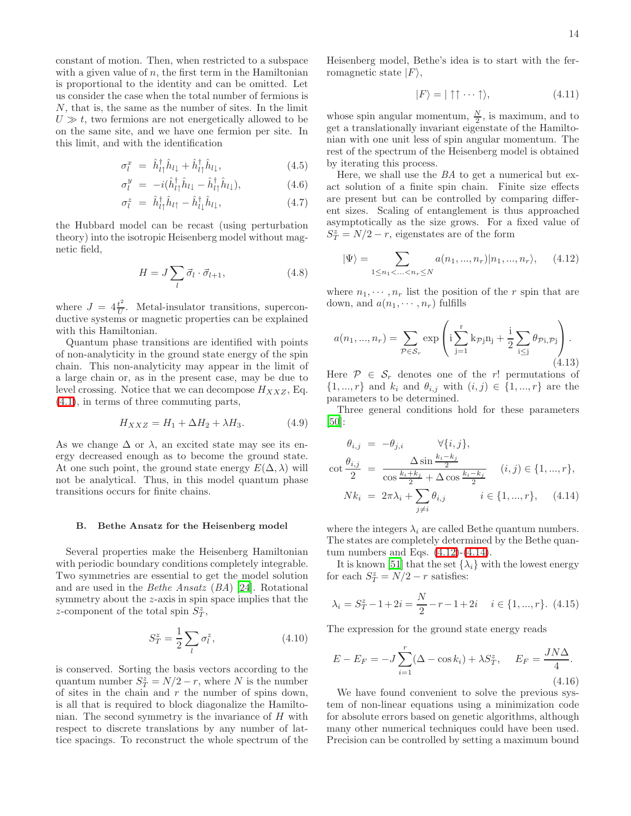constant of motion. Then, when restricted to a subspace with a given value of  $n$ , the first term in the Hamiltonian is proportional to the identity and can be omitted. Let us consider the case when the total number of fermions is N, that is, the same as the number of sites. In the limit  $U \gg t$ , two fermions are not energetically allowed to be on the same site, and we have one fermion per site. In this limit, and with the identification

$$
\sigma_l^x = \hat{h}_{l\uparrow}^\dagger \hat{h}_{l\downarrow} + \hat{h}_{l\uparrow}^\dagger \hat{h}_{l\downarrow}, \qquad (4.5)
$$

$$
\sigma_l^y = -i(\hat{h}_{l\uparrow}^\dagger \hat{h}_{l\downarrow} - \hat{h}_{l\uparrow}^\dagger \hat{h}_{l\downarrow}), \qquad (4.6)
$$

$$
\sigma_l^z = \hat{h}_{l\uparrow}^\dagger \hat{h}_{l\uparrow} - \hat{h}_{l\downarrow}^\dagger \hat{h}_{l\downarrow}, \tag{4.7}
$$

the Hubbard model can be recast (using perturbation theory) into the isotropic Heisenberg model without magnetic field,

$$
H = J \sum_{l} \vec{\sigma}_l \cdot \vec{\sigma}_{l+1}, \qquad (4.8)
$$

where  $J = 4\frac{t^2}{U}$  $\frac{t}{U}$ . Metal-insulator transitions, superconductive systems or magnetic properties can be explained with this Hamiltonian.

Quantum phase transitions are identified with points of non-analyticity in the ground state energy of the spin chain. This non-analyticity may appear in the limit of a large chain or, as in the present case, may be due to level crossing. Notice that we can decompose  $H_{XXZ}$ , Eq. [\(4.1\)](#page-12-3), in terms of three commuting parts,

$$
H_{XXZ} = H_1 + \Delta H_2 + \lambda H_3. \tag{4.9}
$$

As we change  $\Delta$  or  $\lambda$ , an excited state may see its energy decreased enough as to become the ground state. At one such point, the ground state energy  $E(\Delta, \lambda)$  will not be analytical. Thus, in this model quantum phase transitions occurs for finite chains.

#### B. Bethe Ansatz for the Heisenberg model

Several properties make the Heisenberg Hamiltonian with periodic boundary conditions completely integrable. Two symmetries are essential to get the model solution and are used in the Bethe Ansatz (BA) [\[24\]](#page-24-23). Rotational symmetry about the z-axis in spin space implies that the z-component of the total spin  $S_T^z$ ,

$$
S_T^z = \frac{1}{2} \sum_l \sigma_l^z,\tag{4.10}
$$

is conserved. Sorting the basis vectors according to the quantum number  $S_T^z = N/2 - r$ , where N is the number of sites in the chain and  $r$  the number of spins down, is all that is required to block diagonalize the Hamiltonian. The second symmetry is the invariance of  $H$  with respect to discrete translations by any number of lattice spacings. To reconstruct the whole spectrum of the

Heisenberg model, Bethe's idea is to start with the ferromagnetic state  $|F\rangle$ ,

$$
|F\rangle = |\uparrow \uparrow \cdots \uparrow \rangle, \tag{4.11}
$$

whose spin angular momentum,  $\frac{N}{2}$ , is maximum, and to get a translationally invariant eigenstate of the Hamiltonian with one unit less of spin angular momentum. The rest of the spectrum of the Heisenberg model is obtained by iterating this process.

Here, we shall use the BA to get a numerical but exact solution of a finite spin chain. Finite size effects are present but can be controlled by comparing different sizes. Scaling of entanglement is thus approached asymptotically as the size grows. For a fixed value of  $S_T^z = N/2 - r$ , eigenstates are of the form

<span id="page-13-0"></span>
$$
|\Psi\rangle = \sum_{1 \le n_1 < \ldots < n_r \le N} a(n_1, \ldots, n_r) |n_1, \ldots, n_r\rangle, \quad (4.12)
$$

where  $n_1, \dots, n_r$  list the position of the r spin that are down, and  $a(n_1, \dots, n_r)$  fulfills

$$
a(n_1, ..., n_r) = \sum_{\mathcal{P} \in \mathcal{S}_r} \exp \left( i \sum_{j=1}^r k_{\mathcal{P}j} n_j + \frac{i}{2} \sum_{i \leq j} \theta_{\mathcal{P}i, \mathcal{P}j} \right).
$$
\n(4.13)

Here  $P \in S_r$  denotes one of the r! permutations of  $\{1, ..., r\}$  and  $k_i$  and  $\theta_{i,j}$  with  $(i, j) \in \{1, ..., r\}$  are the parameters to be determined.

Three general conditions hold for these parameters [\[50\]](#page-25-5):

<span id="page-13-1"></span>
$$
\theta_{i,j} = -\theta_{j,i} \qquad \forall \{i,j\},
$$
  
\n
$$
\cot \frac{\theta_{i,j}}{2} = \frac{\Delta \sin \frac{k_i - k_j}{2}}{\cos \frac{k_i + k_j}{2} + \Delta \cos \frac{k_i - k_j}{2}} \quad (i,j) \in \{1, ..., r\},
$$
  
\n
$$
Nk_i = 2\pi \lambda_i + \sum_{j \neq i} \theta_{i,j} \qquad i \in \{1, ..., r\}, \quad (4.14)
$$

where the integers  $\lambda_i$  are called Bethe quantum numbers. The states are completely determined by the Bethe quantum numbers and Eqs.  $(4.12)-(4.14)$  $(4.12)-(4.14)$ .

It is known [\[51](#page-25-6)] that the set  $\{\lambda_i\}$  with the lowest energy for each  $S_T^z = N/2 - r$  satisfies:

$$
\lambda_i = S_T^z - 1 + 2i = \frac{N}{2} - r - 1 + 2i \quad i \in \{1, ..., r\}. \tag{4.15}
$$

The expression for the ground state energy reads

$$
E - E_F = -J\sum_{i=1}^{r} (\Delta - \cos k_i) + \lambda S_T^z, \quad E_F = \frac{JN\Delta}{4}.
$$
\n(4.16)

We have found convenient to solve the previous system of non-linear equations using a minimization code for absolute errors based on genetic algorithms, although many other numerical techniques could have been used. Precision can be controlled by setting a maximum bound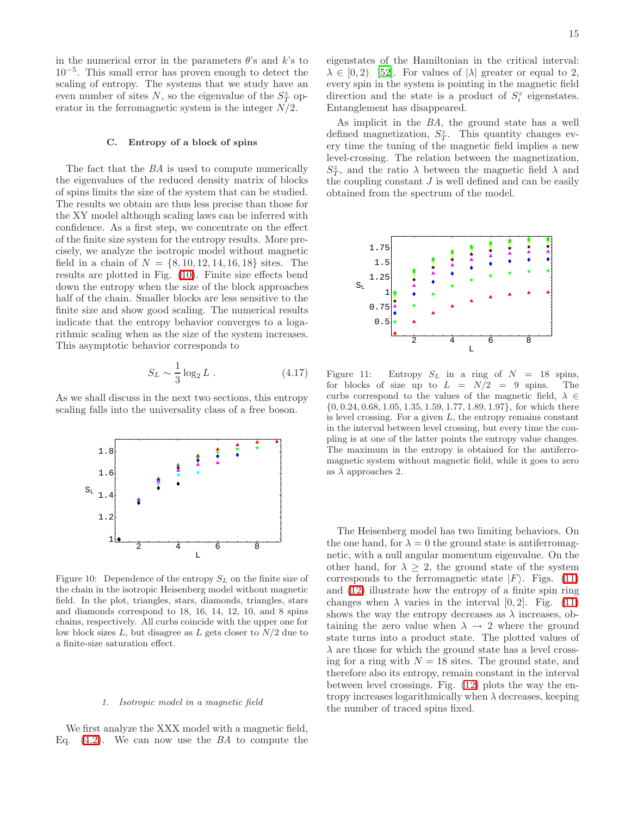in the numerical error in the parameters  $\theta$ 's and k's to 10−<sup>5</sup> . This small error has proven enough to detect the scaling of entropy. The systems that we study have an even number of sites  $N$ , so the eigenvalue of the  $S^z_T$  operator in the ferromagnetic system is the integer  $N/2$ .

## C. Entropy of a block of spins

The fact that the BA is used to compute numerically the eigenvalues of the reduced density matrix of blocks of spins limits the size of the system that can be studied. The results we obtain are thus less precise than those for the XY model although scaling laws can be inferred with confidence. As a first step, we concentrate on the effect of the finite size system for the entropy results. More precisely, we analyze the isotropic model without magnetic field in a chain of  $N = \{8, 10, 12, 14, 16, 18\}$  sites. The results are plotted in Fig. [\(10\)](#page-14-0). Finite size effects bend down the entropy when the size of the block approaches half of the chain. Smaller blocks are less sensitive to the finite size and show good scaling. The numerical results indicate that the entropy behavior converges to a logarithmic scaling when as the size of the system increases. This asymptotic behavior corresponds to

$$
S_L \sim \frac{1}{3} \log_2 L \ . \tag{4.17}
$$

As we shall discuss in the next two sections, this entropy scaling falls into the universality class of a free boson.



<span id="page-14-0"></span>Figure 10: Dependence of the entropy  $S_L$  on the finite size of the chain in the isotropic Heisenberg model without magnetic field. In the plot, triangles, stars, diamonds, triangles, stars and diamonds correspond to 18, 16, 14, 12, 10, and 8 spins chains, respectively. All curbs coincide with the upper one for low block sizes  $L$ , but disagree as  $L$  gets closer to  $N/2$  due to a finite-size saturation effect.

### 1. Isotropic model in a magnetic field

We first analyze the XXX model with a magnetic field, Eq.  $(4.2)$ . We can now use the BA to compute the eigenstates of the Hamiltonian in the critical interval:  $\lambda \in [0, 2)$  [\[52\]](#page-25-7). For values of  $|\lambda|$  greater or equal to 2, every spin in the system is pointing in the magnetic field direction and the state is a product of  $S_i^z$  eigenstates. Entanglement has disappeared.

As implicit in the BA, the ground state has a well defined magnetization,  $S_T^z$ . This quantity changes every time the tuning of the magnetic field implies a new level-crossing. The relation between the magnetization,  $S_T^z$ , and the ratio  $\lambda$  between the magnetic field  $\lambda$  and the coupling constant  $J$  is well defined and can be easily obtained from the spectrum of the model.



<span id="page-14-1"></span>Figure 11: Entropy  $S_L$  in a ring of  $N = 18$  spins, for blocks of size up to  $L = N/2 = 9$  spins. The curbs correspond to the values of the magnetic field,  $\lambda \in$  $\{0, 0.24, 0.68, 1.05, 1.35, 1.59, 1.77, 1.89, 1.97\}$ , for which there is level crossing. For a given  $L$ , the entropy remains constant in the interval between level crossing, but every time the coupling is at one of the latter points the entropy value changes. The maximum in the entropy is obtained for the antiferromagnetic system without magnetic field, while it goes to zero as  $\lambda$  approaches 2.

The Heisenberg model has two limiting behaviors. On the one hand, for  $\lambda = 0$  the ground state is antiferromagnetic, with a null angular momentum eigenvalue. On the other hand, for  $\lambda \geq 2$ , the ground state of the system corresponds to the ferromagnetic state  $|F\rangle$ . Figs. [\(11\)](#page-14-1) and [\(12\)](#page-15-1) illustrate how the entropy of a finite spin ring changes when  $\lambda$  varies in the interval [0, 2]. Fig. [\(11\)](#page-14-1) shows the way the entropy decreases as  $\lambda$  increases, obtaining the zero value when  $\lambda \rightarrow 2$  where the ground state turns into a product state. The plotted values of  $\lambda$  are those for which the ground state has a level crossing for a ring with  $N = 18$  sites. The ground state, and therefore also its entropy, remain constant in the interval between level crossings. Fig. [\(12\)](#page-15-1) plots the way the entropy increases logarithmically when  $\lambda$  decreases, keeping the number of traced spins fixed.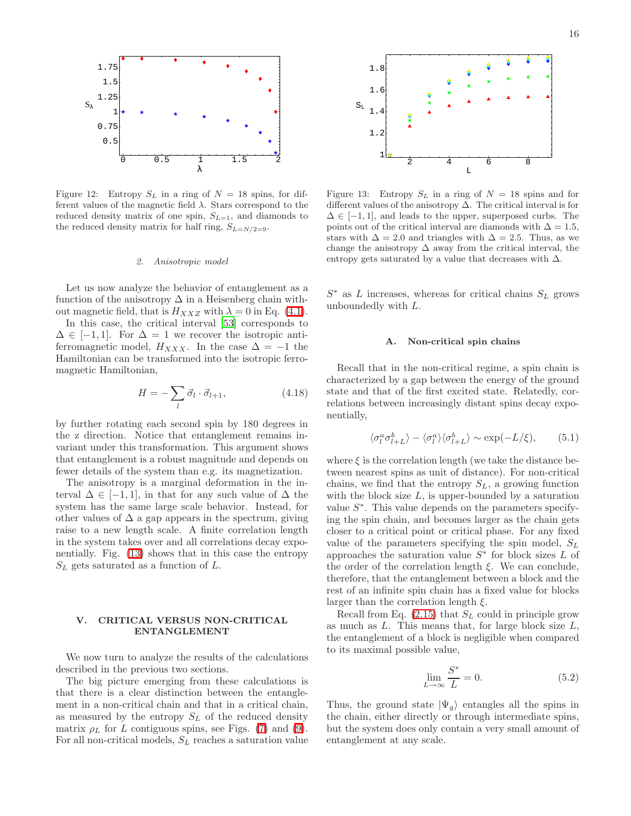

<span id="page-15-1"></span>Figure 12: Entropy  $S_L$  in a ring of  $N = 18$  spins, for different values of the magnetic field  $\lambda$ . Stars correspond to the reduced density matrix of one spin,  $S_{L=1}$ , and diamonds to the reduced density matrix for half ring,  $S_{L=N/2=9}$ .

#### 2. Anisotropic model

Let us now analyze the behavior of entanglement as a function of the anisotropy  $\Delta$  in a Heisenberg chain without magnetic field, that is  $H_{XXZ}$  with  $\lambda = 0$  in Eq. [\(4.1\)](#page-12-3).

In this case, the critical interval [\[53\]](#page-25-8) corresponds to  $\Delta \in [-1, 1]$ . For  $\Delta = 1$  we recover the isotropic antiferromagnetic model,  $H_{XXX}$ . In the case  $\Delta = -1$  the Hamiltonian can be transformed into the isotropic ferromagnetic Hamiltonian,

$$
H = -\sum_{l} \vec{\sigma}_l \cdot \vec{\sigma}_{l+1},\tag{4.18}
$$

by further rotating each second spin by 180 degrees in the z direction. Notice that entanglement remains invariant under this transformation. This argument shows that entanglement is a robust magnitude and depends on fewer details of the system than e.g. its magnetization.

The anisotropy is a marginal deformation in the interval  $\Delta \in [-1, 1]$ , in that for any such value of  $\Delta$  the system has the same large scale behavior. Instead, for other values of  $\Delta$  a gap appears in the spectrum, giving raise to a new length scale. A finite correlation length in the system takes over and all correlations decay exponentially. Fig. [\(13\)](#page-15-2) shows that in this case the entropy  $S_L$  gets saturated as a function of  $L$ .

## V. CRITICAL VERSUS NON-CRITICAL ENTANGLEMENT

<span id="page-15-0"></span>We now turn to analyze the results of the calculations described in the previous two sections.

The big picture emerging from these calculations is that there is a clear distinction between the entanglement in a non-critical chain and that in a critical chain, as measured by the entropy  $S_L$  of the reduced density matrix  $\rho_L$  for L contiguous spins, see Figs. [\(7\)](#page-11-1) and [\(9\)](#page-12-2). For all non-critical models,  $S_L$  reaches a saturation value



<span id="page-15-2"></span>Figure 13: Entropy  $S_L$  in a ring of  $N = 18$  spins and for different values of the anisotropy ∆. The critical interval is for  $\Delta \in [-1, 1]$ , and leads to the upper, superposed curbs. The points out of the critical interval are diamonds with  $\Delta = 1.5$ , stars with  $\Delta = 2.0$  and triangles with  $\Delta = 2.5$ . Thus, as we change the anisotropy  $\Delta$  away from the critical interval, the entropy gets saturated by a value that decreases with  $\Delta$ .

 $S^*$  as L increases, whereas for critical chains  $S_L$  grows unboundedly with L.

#### A. Non-critical spin chains

Recall that in the non-critical regime, a spin chain is characterized by a gap between the energy of the ground state and that of the first excited state. Relatedly, correlations between increasingly distant spins decay exponentially,

$$
\langle \sigma_l^a \sigma_{l+L}^b \rangle - \langle \sigma_l^a \rangle \langle \sigma_{l+L}^b \rangle \sim \exp(-L/\xi), \qquad (5.1)
$$

where  $\xi$  is the correlation length (we take the distance between nearest spins as unit of distance). For non-critical chains, we find that the entropy  $S_L$ , a growing function with the block size  $L$ , is upper-bounded by a saturation value  $S^*$ . This value depends on the parameters specifying the spin chain, and becomes larger as the chain gets closer to a critical point or critical phase. For any fixed value of the parameters specifying the spin model,  $S_L$ approaches the saturation value  $S^*$  for block sizes L of the order of the correlation length  $\xi$ . We can conclude, therefore, that the entanglement between a block and the rest of an infinite spin chain has a fixed value for blocks larger than the correlation length  $\xi$ .

Recall from Eq.  $(2.15)$  that  $S_L$  could in principle grow as much as  $L$ . This means that, for large block size  $L$ , the entanglement of a block is negligible when compared to its maximal possible value,

$$
\lim_{L \to \infty} \frac{S^*}{L} = 0. \tag{5.2}
$$

Thus, the ground state  $|\Psi_{q}\rangle$  entangles all the spins in the chain, either directly or through intermediate spins, but the system does only contain a very small amount of entanglement at any scale.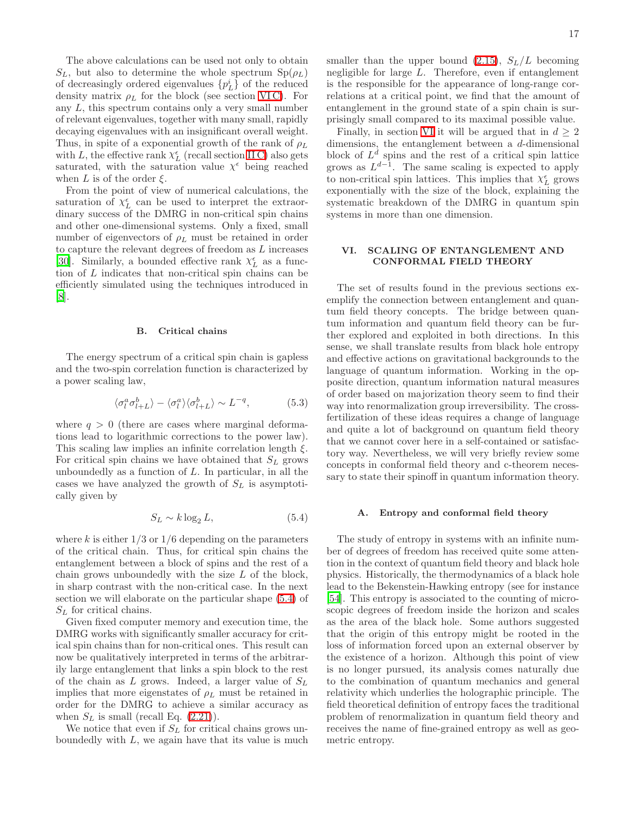The above calculations can be used not only to obtain  $S_L$ , but also to determine the whole spectrum  $Sp(\rho_L)$ of decreasingly ordered eigenvalues  $\{p_L^i\}$  of the reduced density matrix  $\rho_L$  for the block (see section VIC). For any L, this spectrum contains only a very small number of relevant eigenvalues, together with many small, rapidly decaying eigenvalues with an insignificant overall weight. Thus, in spite of a exponential growth of the rank of  $\rho_L$ with L, the effective rank  $\chi^{\epsilon}_{L}$  (recall section [II C\)](#page-5-1) also gets saturated, with the saturation value  $\chi^{\epsilon}$  being reached when L is of the order  $\xi$ .

From the point of view of numerical calculations, the saturation of  $\chi_L^{\epsilon}$  can be used to interpret the extraordinary success of the DMRG in non-critical spin chains and other one-dimensional systems. Only a fixed, small number of eigenvectors of  $\rho_L$  must be retained in order to capture the relevant degrees of freedom as  $L$  increases [\[30\]](#page-24-29). Similarly, a bounded effective rank  $\chi^\epsilon_L$  as a function of L indicates that non-critical spin chains can be efficiently simulated using the techniques introduced in [\[8\]](#page-24-7).

### B. Critical chains

The energy spectrum of a critical spin chain is gapless and the two-spin correlation function is characterized by a power scaling law,

$$
\langle \sigma_l^a \sigma_{l+L}^b \rangle - \langle \sigma_l^a \rangle \langle \sigma_{l+L}^b \rangle \sim L^{-q}, \tag{5.3}
$$

where  $q > 0$  (there are cases where marginal deformations lead to logarithmic corrections to the power law). This scaling law implies an infinite correlation length  $\xi$ . For critical spin chains we have obtained that  $S_L$  grows unboundedly as a function of  $L$ . In particular, in all the cases we have analyzed the growth of  $S_L$  is asymptotically given by

$$
S_L \sim k \log_2 L,\tag{5.4}
$$

<span id="page-16-1"></span>where k is either  $1/3$  or  $1/6$  depending on the parameters of the critical chain. Thus, for critical spin chains the entanglement between a block of spins and the rest of a chain grows unboundedly with the size  $L$  of the block, in sharp contrast with the non-critical case. In the next section we will elaborate on the particular shape [\(5.4\)](#page-16-1) of  $S_L$  for critical chains.

Given fixed computer memory and execution time, the DMRG works with significantly smaller accuracy for critical spin chains than for non-critical ones. This result can now be qualitatively interpreted in terms of the arbitrarily large entanglement that links a spin block to the rest of the chain as  $L$  grows. Indeed, a larger value of  $S_L$ implies that more eigenstates of  $\rho_L$  must be retained in order for the DMRG to achieve a similar accuracy as when  $S_L$  is small (recall Eq.  $(2.21)$ ).

We notice that even if  $S_L$  for critical chains grows unboundedly with  $L$ , we again have that its value is much smaller than the upper bound [\(2.15\)](#page-4-2),  $S_L/L$  becoming negligible for large L. Therefore, even if entanglement is the responsible for the appearance of long-range correlations at a critical point, we find that the amount of entanglement in the ground state of a spin chain is surprisingly small compared to its maximal possible value.

Finally, in section [VI](#page-16-0) it will be argued that in  $d \geq 2$ dimensions, the entanglement between a d-dimensional block of  $L^d$  spins and the rest of a critical spin lattice grows as  $L^{d-1}$ . The same scaling is expected to apply to non-critical spin lattices. This implies that  $\chi_L^{\epsilon}$  grows exponentially with the size of the block, explaining the systematic breakdown of the DMRG in quantum spin systems in more than one dimension.

# <span id="page-16-0"></span>VI. SCALING OF ENTANGLEMENT AND CONFORMAL FIELD THEORY

The set of results found in the previous sections exemplify the connection between entanglement and quantum field theory concepts. The bridge between quantum information and quantum field theory can be further explored and exploited in both directions. In this sense, we shall translate results from black hole entropy and effective actions on gravitational backgrounds to the language of quantum information. Working in the opposite direction, quantum information natural measures of order based on majorization theory seem to find their way into renormalization group irreversibility. The crossfertilization of these ideas requires a change of language and quite a lot of background on quantum field theory that we cannot cover here in a self-contained or satisfactory way. Nevertheless, we will very briefly review some concepts in conformal field theory and c-theorem necessary to state their spinoff in quantum information theory.

#### A. Entropy and conformal field theory

The study of entropy in systems with an infinite number of degrees of freedom has received quite some attention in the context of quantum field theory and black hole physics. Historically, the thermodynamics of a black hole lead to the Bekenstein-Hawking entropy (see for instance [\[54\]](#page-25-9). This entropy is associated to the counting of microscopic degrees of freedom inside the horizon and scales as the area of the black hole. Some authors suggested that the origin of this entropy might be rooted in the loss of information forced upon an external observer by the existence of a horizon. Although this point of view is no longer pursued, its analysis comes naturally due to the combination of quantum mechanics and general relativity which underlies the holographic principle. The field theoretical definition of entropy faces the traditional problem of renormalization in quantum field theory and receives the name of fine-grained entropy as well as geometric entropy.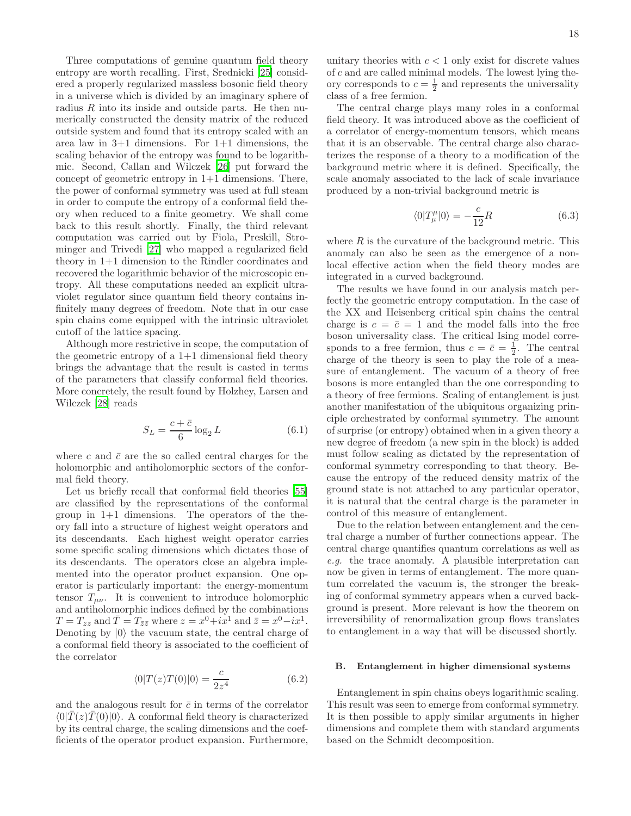Three computations of genuine quantum field theory entropy are worth recalling. First, Srednicki [\[25\]](#page-24-24) considered a properly regularized massless bosonic field theory in a universe which is divided by an imaginary sphere of radius  $R$  into its inside and outside parts. He then numerically constructed the density matrix of the reduced outside system and found that its entropy scaled with an area law in 3+1 dimensions. For 1+1 dimensions, the scaling behavior of the entropy was found to be logarithmic. Second, Callan and Wilczek [\[26\]](#page-24-25) put forward the concept of geometric entropy in  $1+1$  dimensions. There, the power of conformal symmetry was used at full steam in order to compute the entropy of a conformal field theory when reduced to a finite geometry. We shall come back to this result shortly. Finally, the third relevant computation was carried out by Fiola, Preskill, Strominger and Trivedi [\[27\]](#page-24-26) who mapped a regularized field theory in 1+1 dimension to the Rindler coordinates and recovered the logarithmic behavior of the microscopic entropy. All these computations needed an explicit ultraviolet regulator since quantum field theory contains infinitely many degrees of freedom. Note that in our case spin chains come equipped with the intrinsic ultraviolet cutoff of the lattice spacing.

Although more restrictive in scope, the computation of the geometric entropy of a  $1+1$  dimensional field theory brings the advantage that the result is casted in terms of the parameters that classify conformal field theories. More concretely, the result found by Holzhey, Larsen and Wilczek [\[28\]](#page-24-27) reads

$$
S_L = \frac{c + \bar{c}}{6} \log_2 L \tag{6.1}
$$

where c and  $\bar{c}$  are the so called central charges for the holomorphic and antiholomorphic sectors of the conformal field theory.

Let us briefly recall that conformal field theories [\[55](#page-25-10)] are classified by the representations of the conformal group in 1+1 dimensions. The operators of the theory fall into a structure of highest weight operators and its descendants. Each highest weight operator carries some specific scaling dimensions which dictates those of its descendants. The operators close an algebra implemented into the operator product expansion. One operator is particularly important: the energy-momentum tensor  $T_{\mu\nu}$ . It is convenient to introduce holomorphic and antiholomorphic indices defined by the combinations  $T = T_{zz}$  and  $\overline{T} = T_{\overline{z}\overline{z}}$  where  $z = x^0 + ix^1$  and  $\overline{z} = x^0 - ix^1$ . Denoting by  $|0\rangle$  the vacuum state, the central charge of a conformal field theory is associated to the coefficient of the correlator

$$
\langle 0|T(z)T(0)|0\rangle = \frac{c}{2z^4} \tag{6.2}
$$

and the analogous result for  $\bar{c}$  in terms of the correlator  $\langle 0|T(z)T(0)|0\rangle$ . A conformal field theory is characterized by its central charge, the scaling dimensions and the coefficients of the operator product expansion. Furthermore,

unitary theories with  $c < 1$  only exist for discrete values of c and are called minimal models. The lowest lying theory corresponds to  $c = \frac{1}{2}$  and represents the universality class of a free fermion.

The central charge plays many roles in a conformal field theory. It was introduced above as the coefficient of a correlator of energy-momentum tensors, which means that it is an observable. The central charge also characterizes the response of a theory to a modification of the background metric where it is defined. Specifically, the scale anomaly associated to the lack of scale invariance produced by a non-trivial background metric is

$$
\langle 0|T^{\mu}_{\mu}|0\rangle = -\frac{c}{12}R\tag{6.3}
$$

where  $R$  is the curvature of the background metric. This anomaly can also be seen as the emergence of a nonlocal effective action when the field theory modes are integrated in a curved background.

The results we have found in our analysis match perfectly the geometric entropy computation. In the case of the XX and Heisenberg critical spin chains the central charge is  $c = \bar{c} = 1$  and the model falls into the free boson universality class. The critical Ising model corresponds to a free fermion, thus  $c = \bar{c} = \frac{1}{2}$ . The central charge of the theory is seen to play the role of a measure of entanglement. The vacuum of a theory of free bosons is more entangled than the one corresponding to a theory of free fermions. Scaling of entanglement is just another manifestation of the ubiquitous organizing principle orchestrated by conformal symmetry. The amount of surprise (or entropy) obtained when in a given theory a new degree of freedom (a new spin in the block) is added must follow scaling as dictated by the representation of conformal symmetry corresponding to that theory. Because the entropy of the reduced density matrix of the ground state is not attached to any particular operator, it is natural that the central charge is the parameter in control of this measure of entanglement.

Due to the relation between entanglement and the central charge a number of further connections appear. The central charge quantifies quantum correlations as well as e.g. the trace anomaly. A plausible interpretation can now be given in terms of entanglement. The more quantum correlated the vacuum is, the stronger the breaking of conformal symmetry appears when a curved background is present. More relevant is how the theorem on irreversibility of renormalization group flows translates to entanglement in a way that will be discussed shortly.

### B. Entanglement in higher dimensional systems

Entanglement in spin chains obeys logarithmic scaling. This result was seen to emerge from conformal symmetry. It is then possible to apply similar arguments in higher dimensions and complete them with standard arguments based on the Schmidt decomposition.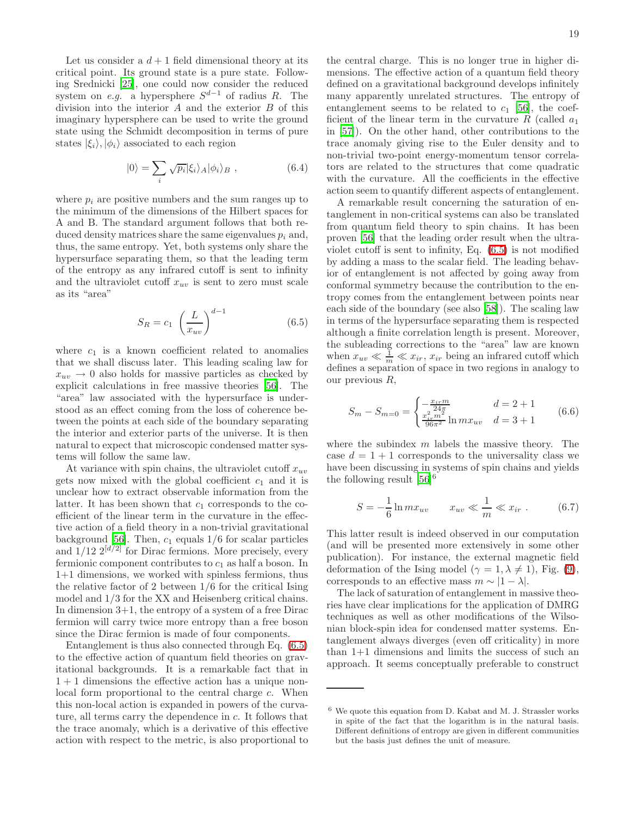Let us consider a  $d+1$  field dimensional theory at its critical point. Its ground state is a pure state. Following Srednicki [\[25\]](#page-24-24), one could now consider the reduced system on *e.g.* a hypersphere  $S^{d-1}$  of radius R. The division into the interior A and the exterior B of this imaginary hypersphere can be used to write the ground state using the Schmidt decomposition in terms of pure states  $|\xi_i\rangle, |\phi_i\rangle$  associated to each region

$$
|0\rangle = \sum_{i} \sqrt{p_i} |\xi_i\rangle_A |\phi_i\rangle_B , \qquad (6.4)
$$

where  $p_i$  are positive numbers and the sum ranges up to the minimum of the dimensions of the Hilbert spaces for A and B. The standard argument follows that both reduced density matrices share the same eigenvalues  $p_i$  and, thus, the same entropy. Yet, both systems only share the hypersurface separating them, so that the leading term of the entropy as any infrared cutoff is sent to infinity and the ultraviolet cutoff  $x_{uv}$  is sent to zero must scale as its "area"

$$
S_R = c_1 \left(\frac{L}{x_{uv}}\right)^{d-1} \tag{6.5}
$$

<span id="page-18-0"></span>where  $c_1$  is a known coefficient related to anomalies that we shall discuss later. This leading scaling law for  $x_{uv} \rightarrow 0$  also holds for massive particles as checked by explicit calculations in free massive theories [\[56](#page-25-11)]. The "area" law associated with the hypersurface is understood as an effect coming from the loss of coherence between the points at each side of the boundary separating the interior and exterior parts of the universe. It is then natural to expect that microscopic condensed matter systems will follow the same law.

At variance with spin chains, the ultraviolet cutoff  $x_{uv}$ gets now mixed with the global coefficient  $c_1$  and it is unclear how to extract observable information from the latter. It has been shown that  $c_1$  corresponds to the coefficient of the linear term in the curvature in the effective action of a field theory in a non-trivial gravitational background [\[56](#page-25-11)]. Then,  $c_1$  equals  $1/6$  for scalar particles and  $1/12$   $2^{[d/2]}$  for Dirac fermions. More precisely, every fermionic component contributes to  $c_1$  as half a boson. In 1+1 dimensions, we worked with spinless fermions, thus the relative factor of 2 between 1/6 for the critical Ising model and 1/3 for the XX and Heisenberg critical chains. In dimension 3+1, the entropy of a system of a free Dirac fermion will carry twice more entropy than a free boson since the Dirac fermion is made of four components.

Entanglement is thus also connected through Eq. [\(6.5\)](#page-18-0) to the effective action of quantum field theories on gravitational backgrounds. It is a remarkable fact that in  $1 + 1$  dimensions the effective action has a unique nonlocal form proportional to the central charge c. When this non-local action is expanded in powers of the curvature, all terms carry the dependence in c. It follows that the trace anomaly, which is a derivative of this effective action with respect to the metric, is also proportional to

the central charge. This is no longer true in higher dimensions. The effective action of a quantum field theory defined on a gravitational background develops infinitely many apparently unrelated structures. The entropy of entanglement seems to be related to  $c_1$  [\[56\]](#page-25-11), the coefficient of the linear term in the curvature  $R$  (called  $a_1$ ) in [\[57](#page-25-12)]). On the other hand, other contributions to the trace anomaly giving rise to the Euler density and to non-trivial two-point energy-momentum tensor correlators are related to the structures that come quadratic with the curvature. All the coefficients in the effective action seem to quantify different aspects of entanglement.

A remarkable result concerning the saturation of entanglement in non-critical systems can also be translated from quantum field theory to spin chains. It has been proven [\[56](#page-25-11)] that the leading order result when the ultraviolet cutoff is sent to infinity, Eq. [\(6.5\)](#page-18-0) is not modified by adding a mass to the scalar field. The leading behavior of entanglement is not affected by going away from conformal symmetry because the contribution to the entropy comes from the entanglement between points near each side of the boundary (see also [\[58\]](#page-25-13)). The scaling law in terms of the hypersurface separating them is respected although a finite correlation length is present. Moreover, the subleading corrections to the "area" law are known when  $x_{uv} \ll \frac{1}{m} \ll x_{ir}$ ,  $x_{ir}$  being an infrared cutoff which defines a separation of space in two regions in analogy to our previous R,

<span id="page-18-2"></span>
$$
S_m - S_{m=0} = \begin{cases} -\frac{x_i - m}{24\pi} & d = 2 + 1\\ \frac{x_i^2 - m^2}{96\pi^2} \ln mx_{uv} & d = 3 + 1 \end{cases}
$$
 (6.6)

where the subindex  $m$  labels the massive theory. The case  $d = 1 + 1$  corresponds to the universality class we have been discussing in systems of spin chains and yields the following result  $[56]^{6}$ 

<span id="page-18-1"></span>
$$
S = -\frac{1}{6} \ln m x_{uv} \qquad x_{uv} \ll \frac{1}{m} \ll x_{ir} . \tag{6.7}
$$

This latter result is indeed observed in our computation (and will be presented more extensively in some other publication). For instance, the external magnetic field deformation of the Ising model ( $\gamma = 1, \lambda \neq 1$ ), Fig. [\(9\)](#page-12-2), corresponds to an effective mass  $m \sim |1 - \lambda|$ .

The lack of saturation of entanglement in massive theories have clear implications for the application of DMRG techniques as well as other modifications of the Wilsonian block-spin idea for condensed matter systems. Entanglement always diverges (even off criticality) in more than 1+1 dimensions and limits the success of such an approach. It seems conceptually preferable to construct

 $^6$  We quote this equation from D. Kabat and M. J. Strassler works in spite of the fact that the logarithm is in the natural basis. Different definitions of entropy are given in different communities but the basis just defines the unit of measure.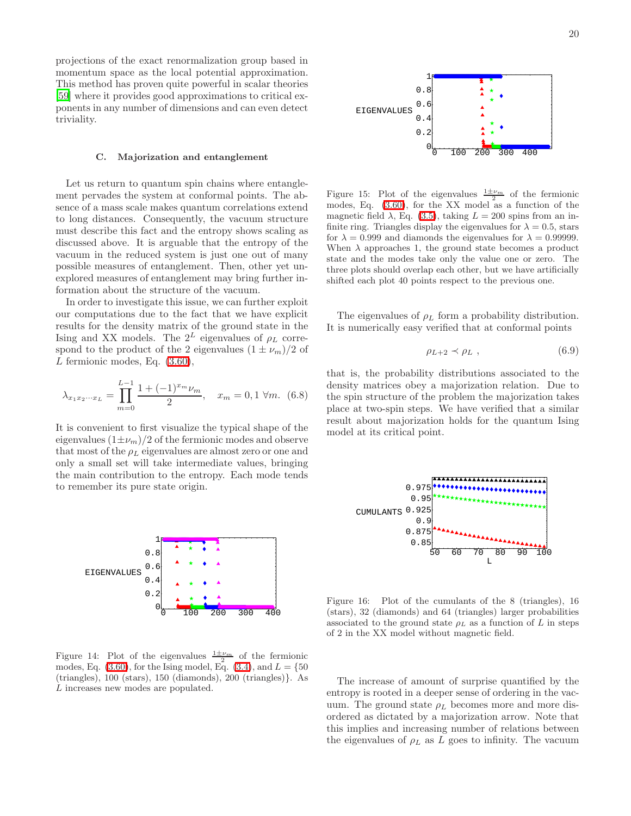projections of the exact renormalization group based in momentum space as the local potential approximation. This method has proven quite powerful in scalar theories [\[59\]](#page-25-14) where it provides good approximations to critical exponents in any number of dimensions and can even detect triviality.

#### C. Majorization and entanglement

<span id="page-19-0"></span>Let us return to quantum spin chains where entanglement pervades the system at conformal points. The absence of a mass scale makes quantum correlations extend to long distances. Consequently, the vacuum structure must describe this fact and the entropy shows scaling as discussed above. It is arguable that the entropy of the vacuum in the reduced system is just one out of many possible measures of entanglement. Then, other yet unexplored measures of entanglement may bring further information about the structure of the vacuum.

In order to investigate this issue, we can further exploit our computations due to the fact that we have explicit results for the density matrix of the ground state in the Ising and XX models. The  $2^L$  eigenvalues of  $\rho_L$  correspond to the product of the 2 eigenvalues  $(1 \pm \nu_m)/2$  of  $L$  fermionic modes, Eq.  $(3.60)$ ,

$$
\lambda_{x_1 x_2 \cdots x_L} = \prod_{m=0}^{L-1} \frac{1 + (-1)^{x_m} \nu_m}{2}, \quad x_m = 0, 1 \,\forall m. \tag{6.8}
$$

It is convenient to first visualize the typical shape of the eigenvalues  $(1\pm\nu_m)/2$  of the fermionic modes and observe that most of the  $\rho_L$  eigenvalues are almost zero or one and only a small set will take intermediate values, bringing the main contribution to the entropy. Each mode tends to remember its pure state origin.



Figure 14: Plot of the eigenvalues  $\frac{1 \pm \nu_m}{2}$  of the fermionic modes, Eq. [\(3.60\)](#page-11-2), for the Ising model, Eq. [\(3.4\)](#page-6-5), and  $L = \{50$ (triangles), 100 (stars), 150 (diamonds), 200 (triangles)}. As L increases new modes are populated.

Figure 15: Plot of the eigenvalues  $\frac{1 \pm \nu_m}{2}$  of the fermionic modes, Eq.  $(3.60)$ , for the XX model as a function of the magnetic field  $\lambda$ , Eq. [\(3.5\)](#page-6-1), taking  $L = 200$  spins from an infinite ring. Triangles display the eigenvalues for  $\lambda = 0.5$ , stars for  $\lambda = 0.999$  and diamonds the eigenvalues for  $\lambda = 0.99999$ . When  $\lambda$  approaches 1, the ground state becomes a product state and the modes take only the value one or zero. The three plots should overlap each other, but we have artificially shifted each plot 40 points respect to the previous one.

The eigenvalues of  $\rho_L$  form a probability distribution. It is numerically easy verified that at conformal points

$$
\rho_{L+2} \prec \rho_L , \qquad (6.9)
$$

that is, the probability distributions associated to the density matrices obey a majorization relation. Due to the spin structure of the problem the majorization takes place at two-spin steps. We have verified that a similar result about majorization holds for the quantum Ising model at its critical point.



Figure 16: Plot of the cumulants of the 8 (triangles), 16 (stars), 32 (diamonds) and 64 (triangles) larger probabilities associated to the ground state  $\rho_L$  as a function of L in steps of 2 in the XX model without magnetic field.

The increase of amount of surprise quantified by the entropy is rooted in a deeper sense of ordering in the vacuum. The ground state  $\rho_L$  becomes more and more disordered as dictated by a majorization arrow. Note that this implies and increasing number of relations between the eigenvalues of  $\rho_L$  as L goes to infinity. The vacuum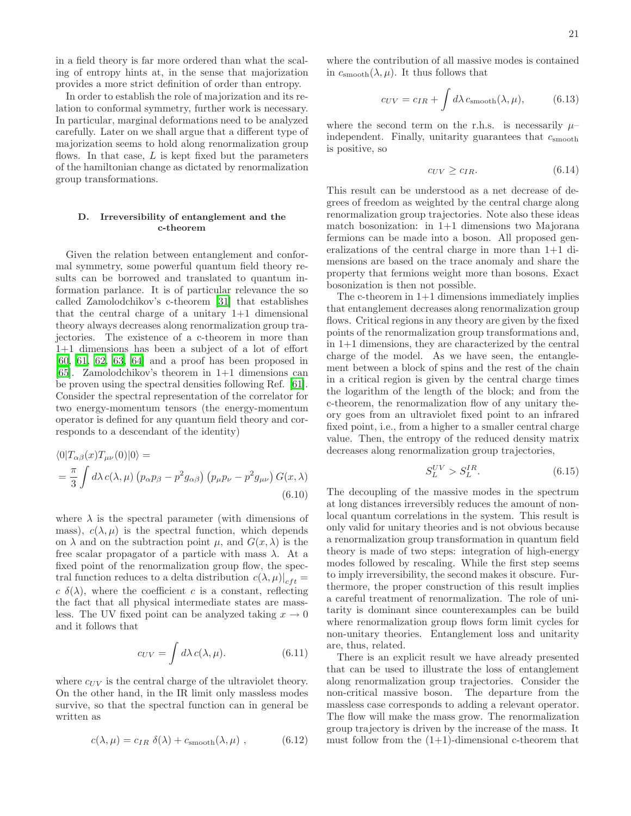in a field theory is far more ordered than what the scaling of entropy hints at, in the sense that majorization provides a more strict definition of order than entropy.

In order to establish the role of majorization and its relation to conformal symmetry, further work is necessary. In particular, marginal deformations need to be analyzed carefully. Later on we shall argue that a different type of majorization seems to hold along renormalization group flows. In that case,  $L$  is kept fixed but the parameters of the hamiltonian change as dictated by renormalization group transformations.

# D. Irreversibility of entanglement and the c-theorem

Given the relation between entanglement and conformal symmetry, some powerful quantum field theory results can be borrowed and translated to quantum information parlance. It is of particular relevance the so called Zamolodchikov's c-theorem [\[31\]](#page-24-30) that establishes that the central charge of a unitary 1+1 dimensional theory always decreases along renormalization group trajectories. The existence of a c-theorem in more than 1+1 dimensions has been a subject of a lot of effort [\[60,](#page-25-15) [61,](#page-25-16) [62](#page-25-17), [63](#page-25-18), [64\]](#page-25-19) and a proof has been proposed in [\[65\]](#page-25-20). Zamolodchikov's theorem in  $1+1$  dimensions can be proven using the spectral densities following Ref. [\[61\]](#page-25-16). Consider the spectral representation of the correlator for two energy-momentum tensors (the energy-momentum operator is defined for any quantum field theory and corresponds to a descendant of the identity)

$$
\langle 0|T_{\alpha\beta}(x)T_{\mu\nu}(0)|0\rangle =
$$
  
=  $\frac{\pi}{3}\int d\lambda c(\lambda,\mu) (p_{\alpha}p_{\beta} - p^2 g_{\alpha\beta}) (p_{\mu}p_{\nu} - p^2 g_{\mu\nu}) G(x,\lambda)$   
(6.10)

where  $\lambda$  is the spectral parameter (with dimensions of mass),  $c(\lambda, \mu)$  is the spectral function, which depends on  $\lambda$  and on the subtraction point  $\mu$ , and  $G(x, \lambda)$  is the free scalar propagator of a particle with mass  $\lambda$ . At a fixed point of the renormalization group flow, the spectral function reduces to a delta distribution  $c(\lambda, \mu)|_{cft} =$  $c \delta(\lambda)$ , where the coefficient c is a constant, reflecting the fact that all physical intermediate states are massless. The UV fixed point can be analyzed taking  $x \to 0$ and it follows that

$$
c_{UV} = \int d\lambda \, c(\lambda, \mu). \tag{6.11}
$$

where  $c_{UV}$  is the central charge of the ultraviolet theory. On the other hand, in the IR limit only massless modes survive, so that the spectral function can in general be written as

$$
c(\lambda, \mu) = c_{IR} \ \delta(\lambda) + c_{\text{smooth}}(\lambda, \mu) \ , \tag{6.12}
$$

where the contribution of all massive modes is contained in  $c_{\text{smooth}}(\lambda, \mu)$ . It thus follows that

$$
c_{UV} = c_{IR} + \int d\lambda \, c_{\text{smooth}}(\lambda, \mu), \tag{6.13}
$$

where the second term on the r.h.s. is necessarily  $\mu$ – independent. Finally, unitarity guarantees that  $c_{\rm smooth}$ is positive, so

$$
c_{UV} \ge c_{IR}.\tag{6.14}
$$

This result can be understood as a net decrease of degrees of freedom as weighted by the central charge along renormalization group trajectories. Note also these ideas match bosonization: in 1+1 dimensions two Majorana fermions can be made into a boson. All proposed generalizations of the central charge in more than 1+1 dimensions are based on the trace anomaly and share the property that fermions weight more than bosons. Exact bosonization is then not possible.

The c-theorem in  $1+1$  dimensions immediately implies that entanglement decreases along renormalization group flows. Critical regions in any theory are given by the fixed points of the renormalization group transformations and, in 1+1 dimensions, they are characterized by the central charge of the model. As we have seen, the entanglement between a block of spins and the rest of the chain in a critical region is given by the central charge times the logarithm of the length of the block; and from the c-theorem, the renormalization flow of any unitary theory goes from an ultraviolet fixed point to an infrared fixed point, i.e., from a higher to a smaller central charge value. Then, the entropy of the reduced density matrix decreases along renormalization group trajectories,

$$
S_L^{UV} > S_L^{IR}.\tag{6.15}
$$

The decoupling of the massive modes in the spectrum at long distances irreversibly reduces the amount of nonlocal quantum correlations in the system. This result is only valid for unitary theories and is not obvious because a renormalization group transformation in quantum field theory is made of two steps: integration of high-energy modes followed by rescaling. While the first step seems to imply irreversibility, the second makes it obscure. Furthermore, the proper construction of this result implies a careful treatment of renormalization. The role of unitarity is dominant since counterexamples can be build where renormalization group flows form limit cycles for non-unitary theories. Entanglement loss and unitarity are, thus, related.

There is an explicit result we have already presented that can be used to illustrate the loss of entanglement along renormalization group trajectories. Consider the non-critical massive boson. The departure from the massless case corresponds to adding a relevant operator. The flow will make the mass grow. The renormalization group trajectory is driven by the increase of the mass. It must follow from the  $(1+1)$ -dimensional c-theorem that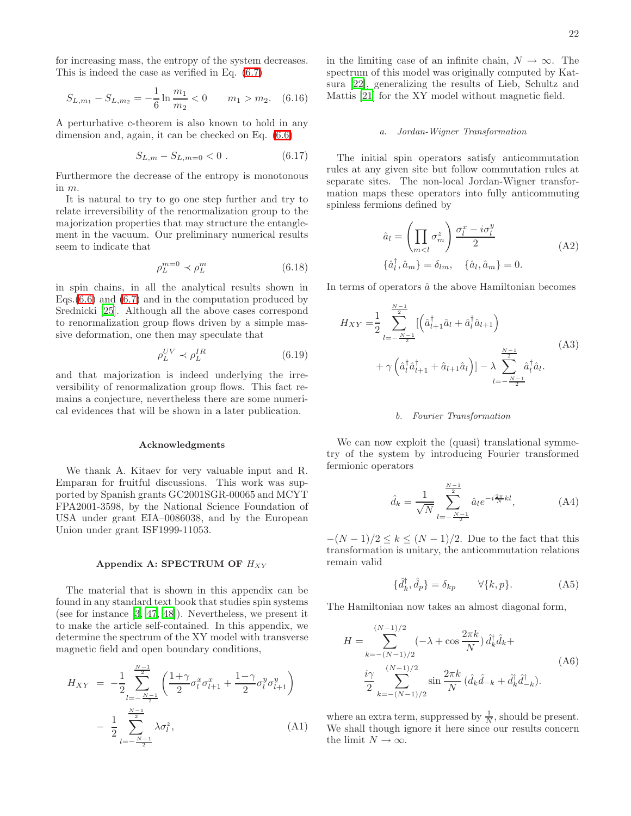for increasing mass, the entropy of the system decreases. This is indeed the case as verified in Eq. [\(6.7\)](#page-18-1)

$$
S_{L,m_1} - S_{L,m_2} = -\frac{1}{6} \ln \frac{m_1}{m_2} < 0 \qquad m_1 > m_2. \tag{6.16}
$$

A perturbative c-theorem is also known to hold in any dimension and, again, it can be checked on Eq. [\(6.6\)](#page-18-2)

$$
S_{L,m} - S_{L,m=0} < 0 \tag{6.17}
$$

Furthermore the decrease of the entropy is monotonous in m.

It is natural to try to go one step further and try to relate irreversibility of the renormalization group to the majorization properties that may structure the entanglement in the vacuum. Our preliminary numerical results seem to indicate that

$$
\rho_L^{m=0} \prec \rho_L^m \tag{6.18}
$$

in spin chains, in all the analytical results shown in Eqs. $(6.6)$  and  $(6.7)$  and in the computation produced by Srednicki [\[25](#page-24-24)]. Although all the above cases correspond to renormalization group flows driven by a simple massive deformation, one then may speculate that

$$
\rho_L^{UV} \prec \rho_L^{IR} \tag{6.19}
$$

and that majorization is indeed underlying the irreversibility of renormalization group flows. This fact remains a conjecture, nevertheless there are some numerical evidences that will be shown in a later publication.

#### Acknowledgments

We thank A. Kitaev for very valuable input and R. Emparan for fruitful discussions. This work was supported by Spanish grants GC2001SGR-00065 and MCYT FPA2001-3598, by the National Science Foundation of USA under grant EIA–0086038, and by the European Union under grant ISF1999-11053.

#### Appendix A: SPECTRUM OF  $H_{XY}$

<span id="page-21-0"></span>The material that is shown in this appendix can be found in any standard text book that studies spin systems (see for instance [\[3](#page-24-2), [47](#page-25-2), [48\]](#page-25-3)). Nevertheless, we present it to make the article self-contained. In this appendix, we determine the spectrum of the XY model with transverse magnetic field and open boundary conditions,

$$
H_{XY} = -\frac{1}{2} \sum_{l=-\frac{N-1}{2}}^{\frac{N-1}{2}} \left( \frac{1+\gamma}{2} \sigma_l^x \sigma_{l+1}^x + \frac{1-\gamma}{2} \sigma_l^y \sigma_{l+1}^y \right) - \frac{1}{2} \sum_{l=-\frac{N-1}{2}}^{\frac{N-1}{2}} \lambda \sigma_l^z,
$$
 (A1)

in the limiting case of an infinite chain,  $N \to \infty$ . The spectrum of this model was originally computed by Katsura [\[22\]](#page-24-21), generalizing the results of Lieb, Schultz and Mattis [\[21\]](#page-24-20) for the XY model without magnetic field.

#### a. Jordan-Wigner Transformation

The initial spin operators satisfy anticommutation rules at any given site but follow commutation rules at separate sites. The non-local Jordan-Wigner transformation maps these operators into fully anticommuting spinless fermions defined by

$$
\hat{a}_l = \left(\prod_{m < l} \sigma_m^z\right) \frac{\sigma_l^x - i\sigma_l^y}{2} \tag{A2}
$$
\n
$$
\{\hat{a}_l^\dagger, \hat{a}_m\} = \delta_{lm}, \quad \{\hat{a}_l, \hat{a}_m\} = 0.
$$

In terms of operators  $\hat{a}$  the above Hamiltonian becomes

$$
H_{XY} = \frac{1}{2} \sum_{l=-\frac{N-1}{2}}^{\frac{N-1}{2}} \left[ \left( \hat{a}_{l+1}^{\dagger} \hat{a}_{l} + \hat{a}_{l}^{\dagger} \hat{a}_{l+1} \right) + \gamma \left( \hat{a}_{l}^{\dagger} \hat{a}_{l+1}^{\dagger} + \hat{a}_{l+1} \hat{a}_{l} \right) \right] - \lambda \sum_{l=-\frac{N-1}{2}}^{\frac{N-1}{2}} \hat{a}_{l}^{\dagger} \hat{a}_{l}.
$$
\n(A3)

### b. Fourier Transformation

We can now exploit the (quasi) translational symmetry of the system by introducing Fourier transformed fermionic operators

$$
\hat{d}_k = \frac{1}{\sqrt{N}} \sum_{l=-\frac{N-1}{2}}^{\frac{N-1}{2}} \hat{a}_l e^{-i\frac{2\pi}{N}kl}, \tag{A4}
$$

 $-(N-1)/2 \leq k \leq (N-1)/2$ . Due to the fact that this transformation is unitary, the anticommutation relations remain valid

$$
\{\hat{d}_k^{\dagger}, \hat{d}_p\} = \delta_{kp} \qquad \forall \{k, p\}.
$$
 (A5)

The Hamiltonian now takes an almost diagonal form,

 $\mathbb{R}^2$ 

$$
H = \sum_{k=-(N-1)/2}^{(N-1)/2} (-\lambda + \cos \frac{2\pi k}{N}) \hat{d}_k^{\dagger} \hat{d}_k +
$$
  

$$
\frac{i\gamma}{2} \sum_{k=-(N-1)/2}^{(N-1)/2} \sin \frac{2\pi k}{N} (\hat{d}_k \hat{d}_{-k} + \hat{d}_k^{\dagger} \hat{d}_{-k}^{\dagger}).
$$
 (A6)

where an extra term, suppressed by  $\frac{1}{N}$ , should be present. We shall though ignore it here since our results concern the limit  $N \to \infty$ .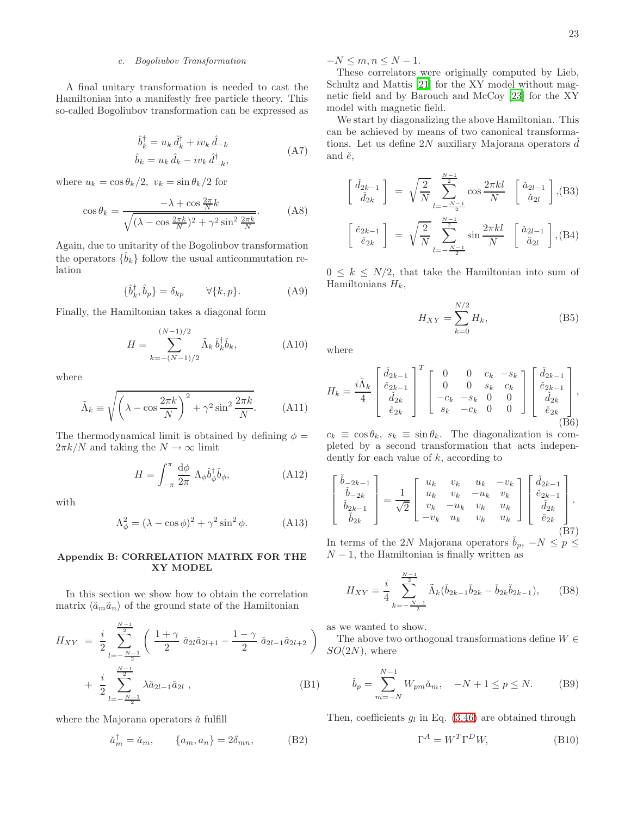## c. Bogoliubov Transformation

A final unitary transformation is needed to cast the Hamiltonian into a manifestly free particle theory. This so-called Bogoliubov transformation can be expressed as

$$
\hat{b}_k^{\dagger} = u_k \, \hat{d}_k^{\dagger} + iv_k \, \hat{d}_{-k} \n\hat{b}_k = u_k \, \hat{d}_k - iv_k \, \hat{d}_{-k}^{\dagger},
$$
\n(A7)

where  $u_k = \cos \theta_k/2$ ,  $v_k = \sin \theta_k/2$  for

$$
\cos \theta_k = \frac{-\lambda + \cos \frac{2\pi}{N} k}{\sqrt{(\lambda - \cos \frac{2\pi k}{N})^2 + \gamma^2 \sin^2 \frac{2\pi k}{N}}}.
$$
 (A8)

Again, due to unitarity of the Bogoliubov transformation the operators  $\{\hat{b}_k\}$  follow the usual anticommutation relation

$$
\{\hat{b}_k^{\dagger}, \hat{b}_p\} = \delta_{kp} \qquad \forall \{k, p\}.
$$
 (A9)

Finally, the Hamiltonian takes a diagonal form

$$
H = \sum_{k=-(N-1)/2}^{(N-1)/2} \tilde{\Lambda}_k \,\hat{b}_k^{\dagger} \hat{b}_k, \tag{A10}
$$

where

$$
\tilde{\Lambda}_k \equiv \sqrt{\left(\lambda - \cos \frac{2\pi k}{N}\right)^2 + \gamma^2 \sin^2 \frac{2\pi k}{N}}.\tag{A11}
$$

The thermodynamical limit is obtained by defining  $\phi =$  $2\pi k/N$  and taking the  $N \to \infty$  limit

$$
H = \int_{-\pi}^{\pi} \frac{\mathrm{d}\phi}{2\pi} \, \Lambda_{\phi} \hat{b}_{\phi}^{\dagger} \hat{b}_{\phi},\tag{A12}
$$

with

$$
\Lambda_{\phi}^{2} = (\lambda - \cos \phi)^{2} + \gamma^{2} \sin^{2} \phi.
$$
 (A13)

### <span id="page-22-0"></span>Appendix B: CORRELATION MATRIX FOR THE XY MODEL

In this section we show how to obtain the correlation matrix  $\langle \check{a}_m \check{a}_n \rangle$  of the ground state of the Hamiltonian

$$
H_{XY} = \frac{i}{2} \sum_{l=-\frac{N-1}{2}}^{\frac{N-1}{2}} \left( \frac{1+\gamma}{2} \check{a}_{2l} \check{a}_{2l+1} - \frac{1-\gamma}{2} \check{a}_{2l-1} \check{a}_{2l+2} \right) + \frac{i}{2} \sum_{l=-\frac{N-1}{2}}^{\frac{N-1}{2}} \lambda \check{a}_{2l-1} \check{a}_{2l} ,
$$
 (B1)

where the Majorana operators  $\check{a}$  fulfill

$$
\check{a}_m^\dagger = \check{a}_m, \qquad \{a_m, a_n\} = 2\delta_{mn}, \qquad (B2)
$$

 $-N \leq m, n \leq N-1.$ 

These correlators were originally computed by Lieb, Schultz and Mattis [\[21](#page-24-20)] for the XY model without magnetic field and by Barouch and McCoy [\[23\]](#page-24-22) for the XY model with magnetic field.

We start by diagonalizing the above Hamiltonian. This can be achieved by means of two canonical transformations. Let us define  $2N$  auxiliary Majorana operators d and  $\check{e}$ ,

$$
\begin{bmatrix}\n\check{d}_{2k-1} \\
\check{d}_{2k}\n\end{bmatrix} = \sqrt{\frac{2}{N}} \sum_{l=-\frac{N-1}{2}}^{\frac{N-1}{2}} \cos \frac{2\pi kl}{N} \begin{bmatrix}\n\check{a}_{2l-1} \\
\check{a}_{2l}\n\end{bmatrix}, (B3)
$$
\n
$$
\begin{bmatrix}\n\check{e}_{2k-1} \\
\check{e}_{2k}\n\end{bmatrix} = \sqrt{\frac{2}{N}} \sum_{l=-\frac{N-1}{2}}^{\frac{N-1}{2}} \sin \frac{2\pi kl}{N} \begin{bmatrix}\n\check{a}_{2l-1} \\
\check{a}_{2l}\n\end{bmatrix}, (B4)
$$

 $0 \leq k \leq N/2$ , that take the Hamiltonian into sum of Hamiltonians  $H_k$ ,

$$
H_{XY} = \sum_{k=0}^{N/2} H_k,
$$
 (B5)

where

$$
H_k = \frac{i\tilde{\Lambda}_k}{4} \begin{bmatrix} \check{d}_{2k-1} \\ \check{e}_{2k-1} \\ \check{d}_{2k} \\ \check{e}_{2k} \end{bmatrix}^T \begin{bmatrix} 0 & 0 & c_k & -s_k \\ 0 & 0 & s_k & c_k \\ -c_k & -s_k & 0 & 0 \\ s_k & -c_k & 0 & 0 \end{bmatrix} \begin{bmatrix} \check{d}_{2k-1} \\ \check{e}_{2k-1} \\ \check{d}_{2k} \\ \check{e}_{2k} \end{bmatrix},
$$
\n(B6)

 $c_k \equiv \cos \theta_k$ ,  $s_k \equiv \sin \theta_k$ . The diagonalization is completed by a second transformation that acts independently for each value of  $k$ , according to

$$
\begin{bmatrix}\n\check{b}_{-2k-1} \\
\check{b}_{-2k} \\
\check{b}_{2k-1} \\
\check{b}_{2k}\n\end{bmatrix} = \frac{1}{\sqrt{2}} \begin{bmatrix}\nu_k & v_k & u_k & -v_k \\
u_k & v_k & -u_k & v_k \\
v_k & -u_k & v_k & u_k \\
-v_k & u_k & v_k & u_k\n\end{bmatrix} \begin{bmatrix}\n\check{d}_{2k-1} \\
\check{e}_{2k-1} \\
\check{d}_{2k} \\
\check{e}_{2k}\n\end{bmatrix}.
$$
\n(B7)

In terms of the 2N Majorana operators  $b_p$ ,  $-N \leq p \leq$  $N-1$ , the Hamiltonian is finally written as

$$
H_{XY} = \frac{i}{4} \sum_{k=-\frac{N-1}{2}}^{\frac{N-1}{2}} \tilde{\Lambda}_k (\check{b}_{2k-1} \check{b}_{2k} - \check{b}_{2k} \check{b}_{2k-1}), \qquad (B8)
$$

as we wanted to show.

The above two orthogonal transformations define  $W \in$  $SO(2N)$ , where

$$
\check{b}_p = \sum_{m=-N}^{N-1} W_{pm} \check{a}_m, \quad -N+1 \le p \le N. \tag{B9}
$$

Then, coefficients  $g_l$  in Eq. [\(3.46\)](#page-10-1) are obtained through

$$
\Gamma^A = W^T \Gamma^D W, \tag{B10}
$$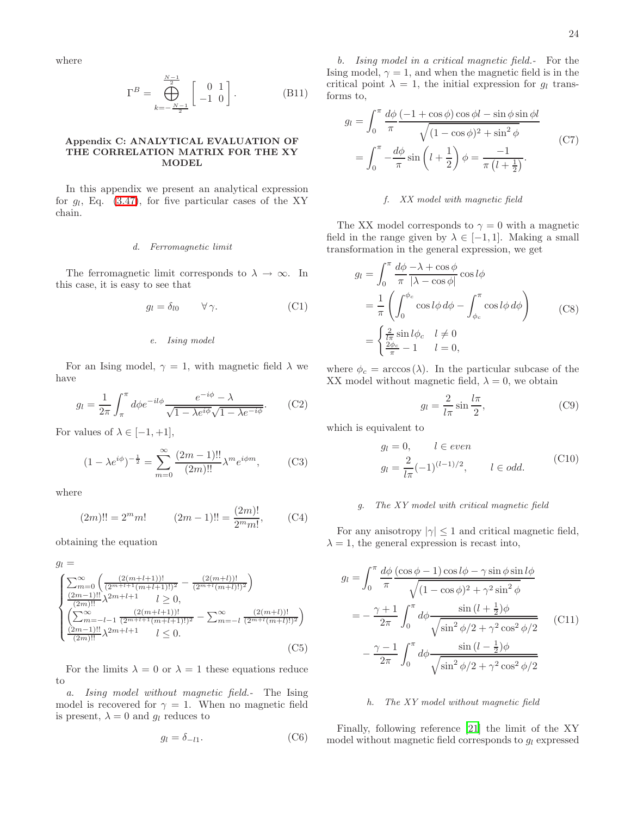where

$$
\Gamma^{B} = \bigoplus_{k=-\frac{N-1}{2}}^{\frac{N-1}{2}} \begin{bmatrix} 0 & 1 \\ -1 & 0 \end{bmatrix}.
$$
 (B11)

## <span id="page-23-0"></span>Appendix C: ANALYTICAL EVALUATION OF THE CORRELATION MATRIX FOR THE XY **MODEL**

In this appendix we present an analytical expression for  $g_l$ , Eq. [\(3.47\)](#page-10-2), for five particular cases of the XY chain.

#### d. Ferromagnetic limit

The ferromagnetic limit corresponds to  $\lambda \to \infty$ . In this case, it is easy to see that

$$
g_l = \delta_{l0} \qquad \forall \, \gamma. \tag{C1}
$$

## e. Ising model

For an Ising model,  $\gamma = 1$ , with magnetic field  $\lambda$  we have

$$
g_l = \frac{1}{2\pi} \int_{\pi}^{\pi} d\phi e^{-il\phi} \frac{e^{-i\phi} - \lambda}{\sqrt{1 - \lambda e^{i\phi}} \sqrt{1 - \lambda e^{-i\phi}}}.
$$
 (C2)

For values of  $\lambda \in [-1, +1],$ 

$$
(1 - \lambda e^{i\phi})^{-\frac{1}{2}} = \sum_{m=0}^{\infty} \frac{(2m-1)!!}{(2m)!!} \lambda^m e^{i\phi m},
$$
 (C3)

where

$$
(2m)!! = 2mm! \t(2m-1)!! = \frac{(2m)!}{2mm!}, \t(C4)
$$

obtaining the equation

$$
g_{l} = \frac{\left(\sum_{m=0}^{\infty} \left(\frac{(2(m+l+1))!}{(2^{m+l+1}(m+l+1)!)^{2}} - \frac{(2(m+l))!}{(2^{m+l}(m+l)!)^{2}}\right)\right)}{\frac{(2m-1)!!}{(2m)!!}\lambda^{2m+l+1} \quad l \geq 0, \left(\sum_{m=-l-1}^{\infty} \frac{(2(m+l+1))!}{(2^{m+l+1}(m+l+1)!)^{2}} - \sum_{m=-l}^{\infty} \frac{(2(m+l))!}{(2^{m+l}(m+l)!)^{2}}\right)}{\frac{(2m-1)!!}{(2m)!!}\lambda^{2m+l+1} \quad l \leq 0.
$$
\n(C5)

For the limits  $\lambda = 0$  or  $\lambda = 1$  these equations reduce to

a. Ising model without magnetic field.- The Ising model is recovered for  $\gamma = 1$ . When no magnetic field is present,  $\lambda = 0$  and  $q_l$  reduces to

$$
g_l = \delta_{-l1}.\tag{C6}
$$

24

b. Ising model in a critical magnetic field.- For the Ising model,  $\gamma = 1$ , and when the magnetic field is in the critical point  $\lambda = 1$ , the initial expression for  $q_l$  transforms to,

$$
g_l = \int_0^\pi \frac{d\phi}{\pi} \frac{(-1 + \cos\phi)\cos\phi l - \sin\phi\sin\phi l}{\sqrt{(1 - \cos\phi)^2 + \sin^2\phi}}
$$
  
= 
$$
\int_0^\pi -\frac{d\phi}{\pi}\sin\left(l + \frac{1}{2}\right)\phi = \frac{-1}{\pi\left(l + \frac{1}{2}\right)}.
$$
 (C7)

## f. XX model with magnetic field

The XX model corresponds to  $\gamma = 0$  with a magnetic field in the range given by  $\lambda \in [-1, 1]$ . Making a small transformation in the general expression, we get

$$
g_l = \int_0^\pi \frac{d\phi}{\pi} \frac{-\lambda + \cos\phi}{|\lambda - \cos\phi|} \cos l\phi
$$
  
=  $\frac{1}{\pi} \left( \int_0^{\phi_c} \cos l\phi \,d\phi - \int_{\phi_c}^{\pi} \cos l\phi \,d\phi \right)$  (C8)  
=  $\begin{cases} \frac{2}{l\pi} \sin l\phi_c & l \neq 0 \\ \frac{2\phi_c}{\pi} - 1 & l = 0, \end{cases}$ 

where  $\phi_c = \arccos(\lambda)$ . In the particular subcase of the XX model without magnetic field,  $\lambda = 0$ , we obtain

$$
g_l = \frac{2}{l\pi} \sin \frac{l\pi}{2},\tag{C9}
$$

which is equivalent to

$$
g_l = 0, \t l \in even
$$
  

$$
g_l = \frac{2}{l\pi}(-1)^{(l-1)/2}, \t l \in odd.
$$
 (C10)

### g. The XY model with critical magnetic field

For any anisotropy  $|\gamma| \leq 1$  and critical magnetic field,  $\lambda = 1$ , the general expression is recast into,

$$
g_l = \int_0^\pi \frac{d\phi}{\pi} \frac{(\cos\phi - 1)\cos l\phi - \gamma\sin\phi\sin l\phi}{\sqrt{(1 - \cos\phi)^2 + \gamma^2\sin^2\phi}}
$$
  

$$
= -\frac{\gamma + 1}{2\pi} \int_0^\pi d\phi \frac{\sin\left(l + \frac{1}{2}\right)\phi}{\sqrt{\sin^2\phi/2 + \gamma^2\cos^2\phi/2}}
$$
(C11)  

$$
-\frac{\gamma - 1}{2\pi} \int_0^\pi d\phi \frac{\sin\left(l - \frac{1}{2}\right)\phi}{\sqrt{\sin^2\phi/2 + \gamma^2\cos^2\phi/2}}
$$

### h. The XY model without magnetic field

Finally, following reference [\[21](#page-24-20)] the limit of the XY model without magnetic field corresponds to  $g_l$  expressed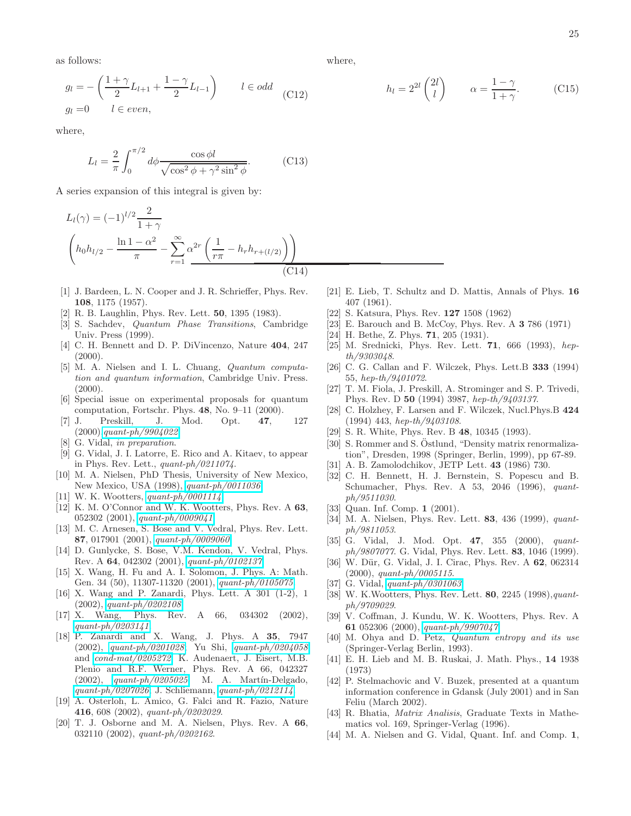25

as follows:

$$
g_l = -\left(\frac{1+\gamma}{2}L_{l+1} + \frac{1-\gamma}{2}L_{l-1}\right) \qquad l \in odd
$$
  

$$
g_l = 0 \qquad l \in even,
$$
 (C12)

where,

$$
L_l = \frac{2}{\pi} \int_0^{\pi/2} d\phi \frac{\cos \phi l}{\sqrt{\cos^2 \phi + \gamma^2 \sin^2 \phi}}.
$$
 (C13)

A series expansion of this integral is given by:

$$
L_l(\gamma) = (-1)^{l/2} \frac{2}{1+\gamma}
$$
  

$$
\left(h_0 h_{l/2} - \frac{\ln 1 - \alpha^2}{\pi} - \sum_{r=1}^{\infty} \alpha^{2r} \left(\frac{1}{r\pi} - h_r h_{r+(l/2)}\right)\right)
$$
  
(C14)

- <span id="page-24-0"></span>[1] J. Bardeen, L. N. Cooper and J. R. Schrieffer, Phys. Rev. 108, 1175 (1957).
- [2] R. B. Laughlin, Phys. Rev. Lett. 50, 1395 (1983).
- <span id="page-24-2"></span><span id="page-24-1"></span>[3] S. Sachdev, Quantum Phase Transitions, Cambridge Univ. Press (1999).
- <span id="page-24-3"></span>[4] C. H. Bennett and D. P. DiVincenzo, Nature 404, 247  $(2000).$
- <span id="page-24-4"></span>[5] M. A. Nielsen and I. L. Chuang, Quantum computation and quantum information, Cambridge Univ. Press.  $(2000)$ .
- <span id="page-24-5"></span>[6] Special issue on experimental proposals for quantum computation, Fortschr. Phys. 48, No. 9–11 (2000).
- <span id="page-24-6"></span>[7] J. Preskill, J. Mod. Opt. 47, 127 (2000),[quant-ph/9904022](http://arxiv.org/abs/quant-ph/9904022).
- <span id="page-24-7"></span>[8] G. Vidal, in preparation.
- [9] G. Vidal, J. I. Latorre, E. Rico and A. Kitaev, to appear in Phys. Rev. Lett., quant-ph/0211074.
- <span id="page-24-9"></span><span id="page-24-8"></span>[10] M. A. Nielsen, PhD Thesis, University of New Mexico, New Mexico, USA (1998), [quant-ph/0011036](http://arxiv.org/abs/quant-ph/0011036).
- <span id="page-24-10"></span>[11] W. K. Wootters, *[quant-ph/0001114](http://arxiv.org/abs/quant-ph/0001114)*.
- <span id="page-24-11"></span>[12] K. M. O'Connor and W. K. Wootters, Phys. Rev. A 63, 052302 (2001), [quant-ph/0009041](http://arxiv.org/abs/quant-ph/0009041).
- <span id="page-24-12"></span>[13] M. C. Arnesen, S. Bose and V. Vedral, Phys. Rev. Lett. 87, 017901 (2001), [quant-ph/0009060](http://arxiv.org/abs/quant-ph/0009060).
- <span id="page-24-13"></span>[14] D. Gunlycke, S. Bose, V.M. Kendon, V. Vedral, Phys. Rev. A 64, 042302 (2001), [quant-ph/0102137](http://arxiv.org/abs/quant-ph/0102137).
- <span id="page-24-14"></span>[15] X. Wang, H. Fu and A. I. Solomon, J. Phys. A: Math. Gen. 34 (50), 11307-11320 (2001), [quant-ph/0105075](http://arxiv.org/abs/quant-ph/0105075).
- <span id="page-24-15"></span>[16] X. Wang and P. Zanardi, Phys. Lett. A 301 (1-2), 1 (2002), [quant-ph/0202108](http://arxiv.org/abs/quant-ph/0202108).
- <span id="page-24-16"></span>[17] X. Wang, Phys. Rev. A 66, 034302 (2002), [quant-ph/0203141](http://arxiv.org/abs/quant-ph/0203141).
- <span id="page-24-17"></span>[18] P. Zanardi and X. Wang, J. Phys. A 35, 7947 (2002), [quant-ph/0201028](http://arxiv.org/abs/quant-ph/0201028); Yu Shi, [quant-ph/0204058](http://arxiv.org/abs/quant-ph/0204058) and [cond-mat/0205272](http://arxiv.org/abs/cond-mat/0205272); K. Audenaert, J. Eisert, M.B. Plenio and R.F. Werner, Phys. Rev. A 66, 042327  $(2002)$ , [quant-ph/0205025](http://arxiv.org/abs/quant-ph/0205025); M. A. Martín-Delgado, [quant-ph/0207026](http://arxiv.org/abs/quant-ph/0207026); J. Schliemann, [quant-ph/0212114](http://arxiv.org/abs/quant-ph/0212114).
- <span id="page-24-18"></span>[19] A. Osterloh, L. Amico, G. Falci and R. Fazio, Nature 416, 608 (2002), quant-ph/0202029.
- <span id="page-24-19"></span>[20] T. J. Osborne and M. A. Nielsen, Phys. Rev. A 66, 032110 (2002), quant-ph/0202162.

where,

$$
h_l = 2^{2l} \binom{2l}{l} \qquad \alpha = \frac{1 - \gamma}{1 + \gamma}.
$$
 (C15)

- <span id="page-24-20"></span>[21] E. Lieb, T. Schultz and D. Mattis, Annals of Phys. 16 407 (1961).
- [22] S. Katsura, Phys. Rev. 127 1508 (1962)
- [23] E. Barouch and B. McCoy, Phys. Rev. A 3 786 (1971)
- <span id="page-24-24"></span><span id="page-24-23"></span><span id="page-24-22"></span><span id="page-24-21"></span>[24] H. Bethe, Z. Phys. **71**, 205 (1931).
- [25] M. Srednicki, Phys. Rev. Lett. **71**, 666 (1993), hepth/9303048.
- <span id="page-24-25"></span>[26] C. G. Callan and F. Wilczek, Phys. Lett.B **333** (1994) 55, hep-th/9401072.
- <span id="page-24-26"></span>[27] T. M. Fiola, J. Preskill, A. Strominger and S. P. Trivedi, Phys. Rev. D 50 (1994) 3987, hep-th/9403137.
- <span id="page-24-27"></span>[28] C. Holzhey, F. Larsen and F. Wilczek, Nucl.Phys.B 424 (1994) 443, hep-th/9403108.
- <span id="page-24-28"></span>[29] S. R. White, Phys. Rev. B 48, 10345 (1993).
- <span id="page-24-29"></span>[30] S. Rommer and S. Östlund, "Density matrix renormalization", Dresden, 1998 (Springer, Berlin, 1999), pp 67-89.
- <span id="page-24-30"></span>[31] A. B. Zamolodchikov, JETP Lett. 43 (1986) 730.
- <span id="page-24-31"></span>[32] C. H. Bennett, H. J. Bernstein, S. Popescu and B. Schumacher, Phys. Rev. A 53, 2046 (1996), quantph/9511030.
- [33] Quan. Inf. Comp. 1 (2001).
- <span id="page-24-33"></span><span id="page-24-32"></span>[34] M. A. Nielsen, Phys. Rev. Lett. **83**, 436 (1999), quantph/9811053.
- <span id="page-24-34"></span>[35] G. Vidal, J. Mod. Opt. 47, 355 (2000), quantph/9807077. G. Vidal, Phys. Rev. Lett. 83, 1046 (1999).
- <span id="page-24-36"></span>[36] W. Dür, G. Vidal, J. I. Cirac, Phys. Rev. A 62, 062314 (2000), quant-ph/0005115.
- <span id="page-24-37"></span>[37] G. Vidal, *[quant-ph/0301063](http://arxiv.org/abs/quant-ph/0301063)*.
- <span id="page-24-35"></span>[38] W. K. Wootters, Phys. Rev. Lett. **80**, 2245 (1998), quantph/9709029.
- <span id="page-24-38"></span>[39] V. Coffman, J. Kundu, W. K. Wootters, Phys. Rev. A 61 052306 (2000), [quant-ph/9907047](http://arxiv.org/abs/quant-ph/9907047).
- <span id="page-24-39"></span>[40] M. Ohya and D. Petz, Quantum entropy and its use (Springer-Verlag Berlin, 1993).
- <span id="page-24-40"></span>[41] E. H. Lieb and M. B. Ruskai, J. Math. Phys., 14 1938 (1973)
- <span id="page-24-41"></span>[42] P. Stelmachovic and V. Buzek, presented at a quantum information conference in Gdansk (July 2001) and in San Feliu (March 2002).
- <span id="page-24-42"></span>[43] R. Bhatia, Matrix Analisis, Graduate Texts in Mathematics vol. 169, Springer-Verlag (1996).
- <span id="page-24-43"></span>[44] M. A. Nielsen and G. Vidal, Quant. Inf. and Comp. 1,